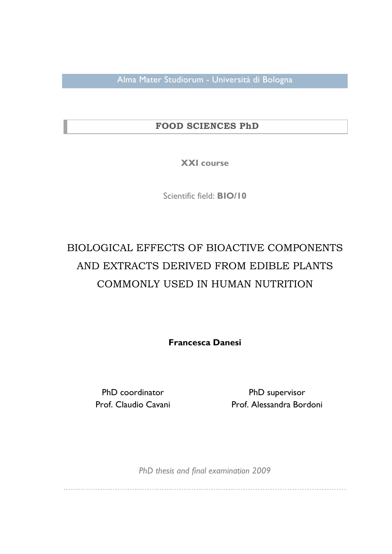Alma Mater Studiorum - Università di Bologna

# **FOOD SCIENCES PhD**

**XXI course** 

Scientific field: **BIO/10** 

# BIOLOGICAL EFFECTS OF BIOACTIVE COMPONENTS AND EXTRACTS DERIVED FROM EDIBLE PLANTS COMMONLY USED IN HUMAN NUTRITION

**Francesca Danesi** 

PhD coordinator PhD supervisor Prof. Claudio Cavani Prof. Alessandra Bordoni

*PhD thesis and final examination 2009*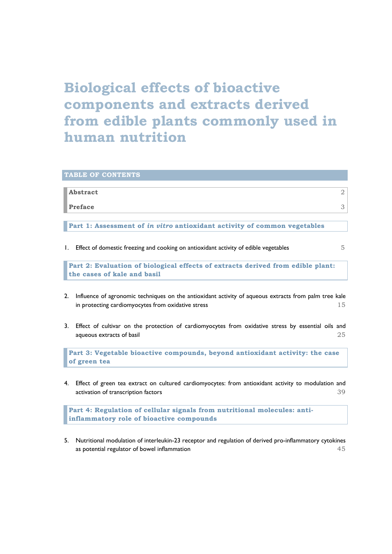# **Biological effects of bioactive components and extracts derived from edible plants commonly used in human nutrition**

**TABLE OF CONTENTS** 

**Abstract** 2

**Preface** 3

**Part 1: Assessment of** *in vitro* **antioxidant activity of common vegetables** 

1. Effect of domestic freezing and cooking on antioxidant activity of edible vegetables 5

**Part 2: Evaluation of biological effects of extracts derived from edible plant: the cases of kale and basil**

- 2. Influence of agronomic techniques on the antioxidant activity of aqueous extracts from palm tree kale in protecting cardiomyocytes from oxidative stress and the stress of the stress and the stress of the stress of the stress and the stress of the stress of the stress of the stress of the stress of the stress of the stress
- 3. Effect of cultivar on the protection of cardiomyocytes from oxidative stress by essential oils and aqueous extracts of basil and a set of the set of the set of the set of the set of the set of the set of the set of the set of the set of the set of the set of the set of the set of the set of the set of the set of the set

**Part 3: Vegetable bioactive compounds, beyond antioxidant activity: the case of green tea** 

4. Effect of green tea extract on cultured cardiomyocytes: from antioxidant activity to modulation and activation of transcription factors and the set of the set of the set of the set of the set of the set of the set of the set of the set of the set of the set of the set of the set of the set of the set of the set of the se

**Part 4: Regulation of cellular signals from nutritional molecules: antiinflammatory role of bioactive compounds** 

5. Nutritional modulation of interleukin-23 receptor and regulation of derived pro-inflammatory cytokines as potential regulator of bowel inflammation and the state of the 45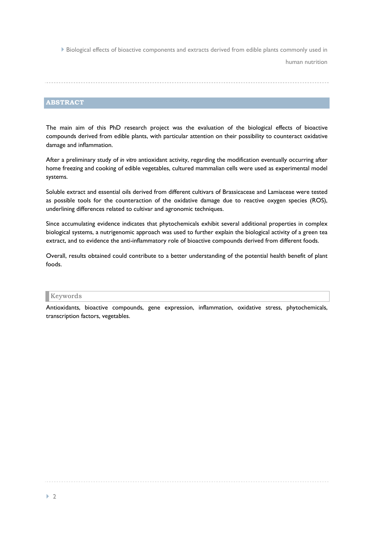` Biological effects of bioactive components and extracts derived from edible plants commonly used in human nutrition

### **ABSTRACT**

The main aim of this PhD research project was the evaluation of the biological effects of bioactive compounds derived from edible plants, with particular attention on their possibility to counteract oxidative damage and inflammation.

After a preliminary study of *in vitro* antioxidant activity, regarding the modification eventually occurring after home freezing and cooking of edible vegetables, cultured mammalian cells were used as experimental model systems.

Soluble extract and essential oils derived from different cultivars of Brassicaceae and Lamiaceae were tested as possible tools for the counteraction of the oxidative damage due to reactive oxygen species (ROS), underlining differences related to cultivar and agronomic techniques.

Since accumulating evidence indicates that phytochemicals exhibit several additional properties in complex biological systems, a nutrigenomic approach was used to further explain the biological activity of a green tea extract, and to evidence the anti-inflammatory role of bioactive compounds derived from different foods.

Overall, results obtained could contribute to a better understanding of the potential health benefit of plant foods.

### Keywords

Antioxidants, bioactive compounds, gene expression, inflammation, oxidative stress, phytochemicals, transcription factors, vegetables.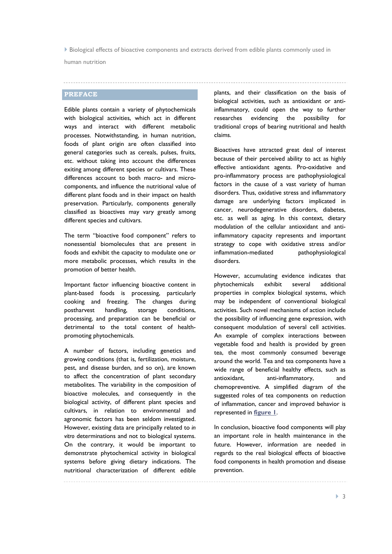` Biological effects of bioactive components and extracts derived from edible plants commonly used in

human nutrition

#### **PREFACE**

Edible plants contain a variety of phytochemicals with biological activities, which act in different ways and interact with different metabolic processes. Notwithstanding, in human nutrition, foods of plant origin are often classified into general categories such as cereals, pulses, fruits, etc. without taking into account the differences exiting among different species or cultivars. These differences account to both macro- and microcomponents, and influence the nutritional value of different plant foods and in their impact on health preservation. Particularly, components generally classified as bioactives may vary greatly among different species and cultivars.

The term "bioactive food component" refers to nonessential biomolecules that are present in foods and exhibit the capacity to modulate one or more metabolic processes, which results in the promotion of better health.

Important factor influencing bioactive content in plant-based foods is processing, particularly cooking and freezing. The changes during postharvest handling, storage conditions, processing, and preparation can be beneficial or detrimental to the total content of healthpromoting phytochemicals.

A number of factors, including genetics and growing conditions (that is, fertilization, moisture, pest, and disease burden, and so on), are known to affect the concentration of plant secondary metabolites. The variability in the composition of bioactive molecules, and consequently in the biological activity, of different plant species and cultivars, in relation to environmental and agronomic factors has been seldom investigated. However, existing data are principally related to *in vitro* determinations and not to biological systems. On the contrary, it would be important to demonstrate phytochemical activity in biological systems before giving dietary indications. The nutritional characterization of different edible

plants, and their classification on the basis of biological activities, such as antioxidant or antiinflammatory, could open the way to further researches evidencing the possibility for traditional crops of bearing nutritional and health claims.

Bioactives have attracted great deal of interest because of their perceived ability to act as highly effective antioxidant agents. Pro-oxidative and pro-inflammatory process are pathophysiological factors in the cause of a vast variety of human disorders. Thus, oxidative stress and inflammatory damage are underlying factors implicated in cancer, neurodegenerative disorders, diabetes, etc. as well as aging. In this context, dietary modulation of the cellular antioxidant and antiinflammatory capacity represents and important strategy to cope with oxidative stress and/or inflammation-mediated pathophysiological disorders.

However, accumulating evidence indicates that phytochemicals exhibit several additional properties in complex biological systems, which may be independent of conventional biological activities. Such novel mechanisms of action include the possibility of influencing gene expression, with consequent modulation of several cell activities. An example of complex interactions between vegetable food and health is provided by green tea, the most commonly consumed beverage around the world. Tea and tea components have a wide range of beneficial healthy effects, such as antioxidant, anti-inflammatory, and chemopreventive. A simplified diagram of the suggested roles of tea components on reduction of inflammation, cancer and improved behavior is represented in **figure 1**.

In conclusion, bioactive food components will play an important role in health maintenance in the future. However, information are needed in regards to the real biological effects of bioactive food components in health promotion and disease prevention.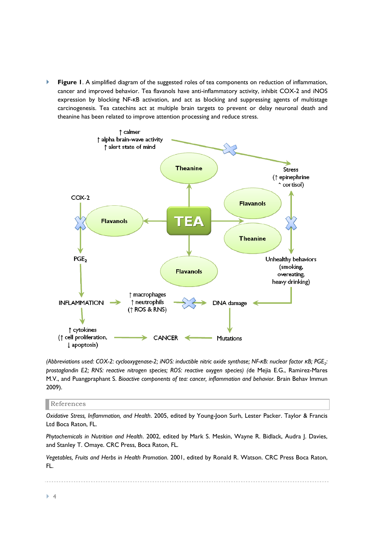**Figure 1.** A simplified diagram of the suggested roles of tea components on reduction of inflammation, cancer and improved behavior. Tea flavanols have anti-inflammatory activity, inhibit COX-2 and iNOS expression by blocking NF-κB activation, and act as blocking and suppressing agents of multistage carcinogenesis. Tea catechins act at multiple brain targets to prevent or delay neuronal death and theanine has been related to improve attention processing and reduce stress.



*(Abbreviations used: COX-2: cyclooxygenase-2; iNOS: inductible nitric oxide synthase; NF-κB: nuclear factor κB; PGE2: prostaglandin E2; RNS: reactive nitrogen species; ROS: reactive oxygen species) (*de Mejia E.G., Ramirez-Mares M.V., and Puangpraphant S. *Bioactive components of tea: cancer, inflammation and behavior*. Brain Behav Immun 2009).

#### References

*Oxidative Stress, Inflammation, and Health*. 2005, edited by Young-Joon Surh, Lester Packer. Taylor & Francis Ltd Boca Raton, FL.

*Phytochemicals in Nutrition and Health*. 2002, edited by Mark S. Meskin, Wayne R. Bidlack, Audra J. Davies, and Stanley T. Omaye. CRC Press, Boca Raton, FL.

*Vegetables, Fruits and Herbs in Health Promotion*. 2001, edited by Ronald R. Watson. CRC Press Boca Raton, FL.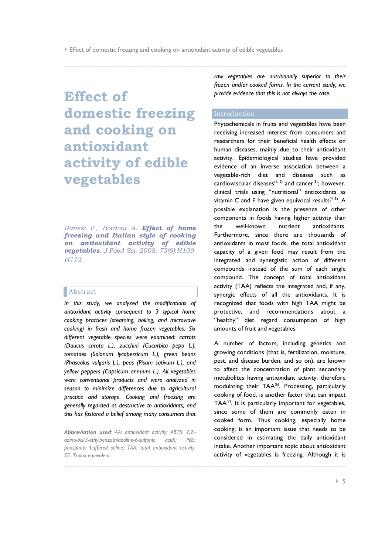$\triangleright$  Effect of domestic freezing and cooking on antioxidant activity of edible vegetables

# **Effect of domestic freezing and cooking on antioxidant activity of edible vegetables**

*Danesi F., Bordoni A. Effect of home freezing and Italian style of cooking on antioxidant activity of edible vegetables. J Food Sci. 2008; 73(6):H109- H112. 1*

# Abstract

 $\overline{a}$ 

*In this study, we analyzed the modifications of antioxidant activity consequent to 3 typical home cooking practices (steaming, boiling, and microwave cooking) in fresh and home frozen vegetables. Six different vegetable species were examined: carrots (Daucus carota L.), zucchini (Cucurbita pepo L.), tomatoes (Solanum lycopersicum L.), green beans (Phaseolus vulgaris L.), peas (Pisum sativum L.), and yellow peppers (Capsicum annuum L.). All vegetables were conventional products and were analyzed in season to minimize differences due to agricultural practice and storage. Cooking and freezing are generally regarded as destructive to antioxidants, and this has fostered a belief among many consumers that* 

*Abbreviation used: AA: antioxidant activity; ABTS: 2,2' azino-bis(3-ethylbenzothiazoline-6-sulfonic acid); PBS: phosphate buffered saline; TAA: total antioxidant activity; TE: Trolox equivalent.* 

*raw vegetables are nutritionally superior to their frozen and/or cooked forms. In the current study, we provide evidence that this is not always the case.* 

# Introduction

Phytochemicals in fruits and vegetables have been receiving increased interest from consumers and researchers for their beneficial health effects on human diseases, mainly due to their antioxidant activity. Epidemiological studies have provided evidence of an inverse association between a vegetable-rich diet and diseases such as cardiovascular diseases<sup>(1, 2)</sup> and cancer<sup>(3)</sup>; however, clinical trials using "nutritional" antioxidants as vitamin C and E have given equivocal results<sup> $(4, 5)$ </sup>. A possible explanation is the presence of other components in foods having higher activity than the well-known nutrient antioxidants. Furthermore, since there are thousands of antioxidants in most foods, the total antioxidant capacity of a given food may result from the integrated and synergistic action of different compounds instead of the sum of each single compound. The concept of total antioxidant activity (TAA) reflects the integrated and, if any, synergic effects of all the antioxidants. It is recognized that foods with high TAA might be protective, and recommendations about a "healthy" diet regard consumption of high amounts of fruit and vegetables.

A number of factors, including genetics and growing conditions (that is, fertilization, moisture, pest, and disease burden, and so on), are known to affect the concentration of plant secondary metabolites having antioxidant activity, therefore modulating their TAA<sup>(6)</sup>. Processing, particularly cooking of food, is another factor that can impact TAA $(7)$ . It is particularly important for vegetables, since some of them are commonly eaten in cooked form. Thus cooking, especially home cooking, is an important issue that needs to be considered in estimating the daily antioxidant intake. Another important topic about antioxidant activity of vegetables is freezing. Although it is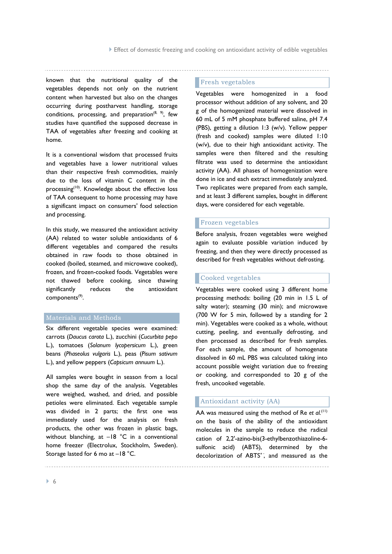known that the nutritional quality of the vegetables depends not only on the nutrient content when harvested but also on the changes occurring during postharvest handling, storage conditions, processing, and preparation<sup> $(8, 9)$ </sup>, few studies have quantified the supposed decrease in TAA of vegetables after freezing and cooking at home.

It is a conventional wisdom that processed fruits and vegetables have a lower nutritional values than their respective fresh commodities, mainly due to the loss of vitamin C content in the processing<sup>(10)</sup>. Knowledge about the effective loss of TAA consequent to home processing may have a significant impact on consumers' food selection and processing.

In this study, we measured the antioxidant activity (AA) related to water soluble antioxidants of 6 different vegetables and compared the results obtained in raw foods to those obtained in cooked (boiled, steamed, and microwave cooked), frozen, and frozen-cooked foods. Vegetables were not thawed before cooking, since thawing significantly reduces the antioxidant components<sup>(9)</sup>.

Six different vegetable species were examined: carrots (*Daucus carota* L.), zucchini (*Cucurbita pepo* L.), tomatoes (*Solanum lycopersicum* L.), green beans (*Phaseolus vulgaris* L.), peas (*Pisum sativum* L.), and yellow peppers (*Capsicum annuum* L.).

All samples were bought in season from a local shop the same day of the analysis. Vegetables were weighed, washed, and dried, and possible petioles were eliminated. Each vegetable sample was divided in 2 parts; the first one was immediately used for the analysis on fresh products, the other was frozen in plastic bags, without blanching, at -18 °C in a conventional home freezer (Electrolux, Stockholm, Sweden). Storage lasted for 6 mo at –18 °C.

# Fresh vegetables

Vegetables were homogenized in a food processor without addition of any solvent, and 20 g of the homogenized material were dissolved in 60 mL of 5 mM phosphate buffered saline, pH 7.4 (PBS), getting a dilution 1:3 (w/v). Yellow pepper (fresh and cooked) samples were diluted 1:10 (w/v), due to their high antioxidant activity. The samples were then filtered and the resulting filtrate was used to determine the antioxidant activity (AA). All phases of homogenization were done in ice and each extract immediately analyzed. Two replicates were prepared from each sample, and at least 3 different samples, bought in different days, were considered for each vegetable.

### Frozen vegetables

Before analysis, frozen vegetables were weighed again to evaluate possible variation induced by freezing, and then they were directly processed as described for fresh vegetables without defrosting.

### Cooked vegetables

Vegetables were cooked using 3 different home processing methods: boiling (20 min in 1.5 L of salty water); steaming (30 min); and microwave (700 W for 5 min, followed by a standing for 2 min). Vegetables were cooked as a whole, without cutting, peeling, and eventually defrosting, and then processed as described for fresh samples. For each sample, the amount of homogenate dissolved in 60 mL PBS was calculated taking into account possible weight variation due to freezing or cooking, and corresponded to 20 g of the fresh, uncooked vegetable.

# Antioxidant activity (AA)

AA was measured using the method of Re et al.<sup>(11)</sup> on the basis of the ability of the antioxidant molecules in the sample to reduce the radical cation of 2,2'-azino-bis(3-ethylbenzothiazoline-6 sulfonic acid) (ABTS), determined by the decolorization of ABTS<sup>+</sup>; and measured as the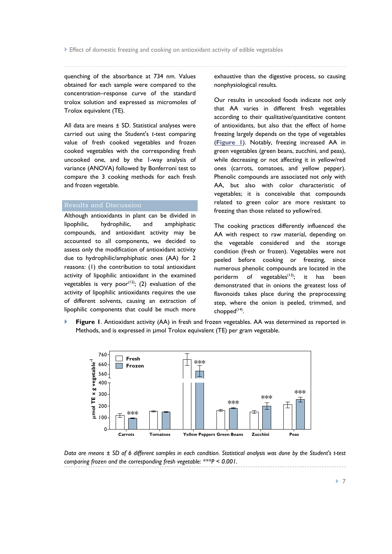$\triangleright$  Effect of domestic freezing and cooking on antioxidant activity of edible vegetables

quenching of the absorbance at 734 nm. Values obtained for each sample were compared to the concentration–response curve of the standard trolox solution and expressed as micromoles of Trolox equivalent (TE).

All data are means  $\pm$  SD. Statistical analyses were carried out using the Student's *t*-test comparing value of fresh cooked vegetables and frozen cooked vegetables with the corresponding fresh uncooked one, and by the 1-way analysis of variance (ANOVA) followed by Bonferroni test to compare the 3 cooking methods for each fresh and frozen vegetable.

Although antioxidants in plant can be divided in lipophilic, hydrophilic, and amphiphatic compounds, and antioxidant activity may be accounted to all components, we decided to assess only the modification of antioxidant activity due to hydrophilic/amphiphatic ones (AA) for 2 reasons: (1) the contribution to total antioxidant activity of lipophilic antioxidant in the examined vegetables is very poor<sup>(12)</sup>; (2) evaluation of the activity of lipophilic antioxidants requires the use of different solvents, causing an extraction of lipophilic components that could be much more

exhaustive than the digestive process, so causing nonphysiological results.

Our results in uncooked foods indicate not only that AA varies in different fresh vegetables according to their qualitative/quantitative content of antioxidants, but also that the effect of home freezing largely depends on the type of vegetables (**Figure 1**). Notably, freezing increased AA in green vegetables (green beans, zucchini, and peas), while decreasing or not affecting it in yellow/red ones (carrots, tomatoes, and yellow pepper). Phenolic compounds are associated not only with AA, but also with color characteristic of vegetables; it is conceivable that compounds related to green color are more resistant to freezing than those related to yellow/red.

The cooking practices differently influenced the AA with respect to raw material, depending on the vegetable considered and the storage condition (fresh or frozen). Vegetables were not peeled before cooking or freezing, since numerous phenolic compounds are located in the periderm of vegetables<sup> $(13)$ </sup>; it has been demonstrated that in onions the greatest loss of flavonoids takes place during the preprocessing step, where the onion is peeled, trimmed, and chopped $^{(14)}$ .

**Figure 1**. Antioxidant activity (AA) in fresh and frozen vegetables. AA was determined as reported in Methods, and is expressed in μmol Trolox equivalent (TE) per gram vegetable.



*Data are means ± SD of 6 different samples in each condition. Statistical analysis was done by the Student's t-test comparing frozen and the corresponding fresh vegetable: \*\*\*P < 0.001.*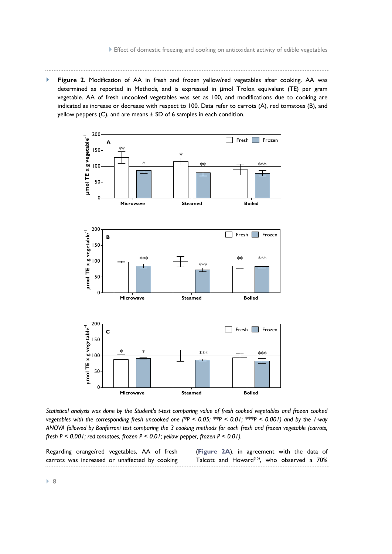$\blacktriangleright$  Effect of domestic freezing and cooking on antioxidant activity of edible vegetables

` **Figure 2**. Modification of AA in fresh and frozen yellow/red vegetables after cooking. AA was determined as reported in Methods, and is expressed in μmol Trolox equivalent (TE) per gram vegetable. AA of fresh uncooked vegetables was set as 100, and modifications due to cooking are indicated as increase or decrease with respect to 100. Data refer to carrots (A), red tomatoes (B), and yellow peppers  $(C)$ , and are means  $\pm$  SD of 6 samples in each condition.



*Statistical analysis was done by the Student's t-test comparing value of fresh cooked vegetables and frozen cooked vegetables with the corresponding fresh uncooked one (\*P < 0.05; \*\*P < 0.01; \*\*\*P < 0.001) and by the 1-way ANOVA followed by Bonferroni test comparing the 3 cooking methods for each fresh and frozen vegetable (carrots, fresh P < 0.001; red tomatoes, frozen P < 0.01; yellow pepper, frozen P < 0.01).* 

| Regarding orange/red vegetables, AA of fresh   | (Figure 2A), in agreement with the data of              |
|------------------------------------------------|---------------------------------------------------------|
| carrots was increased or unaffected by cooking | Talcott and Howard <sup>(15)</sup> , who observed a 70% |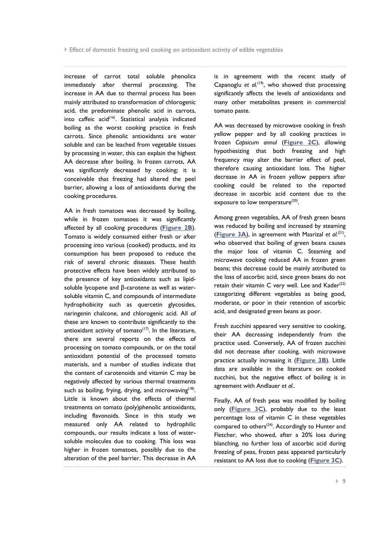$\triangleright$  Effect of domestic freezing and cooking on antioxidant activity of edible vegetables

increase of carrot total soluble phenolics immediately after thermal processing. The increase in AA due to thermal process has been mainly attributed to transformation of chlorogenic acid, the predominate phenolic acid in carrots, into caffeic acid<sup>(16)</sup>. Statistical analysis indicated boiling as the worst cooking practice in fresh carrots. Since phenolic antioxidants are water soluble and can be leached from vegetable tissues by processing in water, this can explain the highest AA decrease after boiling. In frozen carrots, AA was significantly decreased by cooking; it is conceivable that freezing had altered the peel barrier, allowing a loss of antioxidants during the cooking procedures.

AA in fresh tomatoes was decreased by boiling, while in frozen tomatoes it was significantly affected by all cooking procedures (**Figure 2B**). Tomato is widely consumed either fresh or after processing into various (cooked) products, and its consumption has been proposed to reduce the risk of several chronic diseases. These health protective effects have been widely attributed to the presence of key antioxidants such as lipidsoluble lycopene and β-carotene as well as watersoluble vitamin C, and compounds of intermediate hydrophobicity such as quercetin glycosides, naringenin chalcone, and chlorogenic acid. All of these are known to contribute significantly to the antioxidant activity of tomato<sup> $(17)$ </sup>. In the literature, there are several reports on the effects of processing on tomato compounds, or on the total antioxidant potential of the processed tomato materials, and a number of studies indicate that the content of carotenoids and vitamin C may be negatively affected by various thermal treatments such as boiling, frying, drying, and microwaving $(18)$ . Little is known about the effects of thermal treatments on tomato (poly)phenolic antioxidants, including flavonoids. Since in this study we measured only AA related to hydrophilic compounds, our results indicate a loss of watersoluble molecules due to cooking. This loss was higher in frozen tomatoes, possibly due to the alteration of the peel barrier. This decrease in AA

is in agreement with the recent study of Capanoglu *et al.*<sup>(19)</sup>, who showed that processing significantly affects the levels of antioxidants and many other metabolites present in commercial tomato paste.

AA was decreased by microwave cooking in fresh yellow pepper and by all cooking practices in frozen *Capsicum annul* (**Figure 2C**), allowing hypothesizing that both freezing and high frequency may alter the barrier effect of peel, therefore causing antioxidant loss. The higher decrease in AA in frozen yellow peppers after cooking could be related to the reported decrease in ascorbic acid content due to the exposure to low temperature<sup>(20)</sup>.

Among green vegetables, AA of fresh green beans was reduced by boiling and increased by steaming (**Figure 3A**), in agreement with Masrizal *et al.*(21), who observed that boiling of green beans causes the major loss of vitamin C. Steaming and microwave cooking reduced AA in frozen green beans; this decrease could be mainly attributed to the loss of ascorbic acid, since green beans do not retain their vitamin C very well. Lee and  $Kader<sup>(22)</sup>$ categorizing different vegetables as being good, moderate, or poor in their retention of ascorbic acid, and designated green beans as poor.

Fresh zucchini appeared very sensitive to cooking, their AA decreasing independently from the practice used. Conversely, AA of frozen zucchini did not decrease after cooking, with microwave practice actually increasing it (**Figure 3B**). Little data are available in the literature on cooked zucchini, but the negative effect of boiling is in agreement with Andlauer *et al.*.

Finally, AA of fresh peas was modified by boiling only (**Figure 3C**), probably due to the least percentage loss of vitamin C in these vegetables compared to others<sup> $(24)$ </sup>. Accordingly to Hunter and Fletcher, who showed, after a 20% loss during blanching, no further loss of ascorbic acid during freezing of peas, frozen peas appeared particularly resistant to AA loss due to cooking (**Figure 3C**).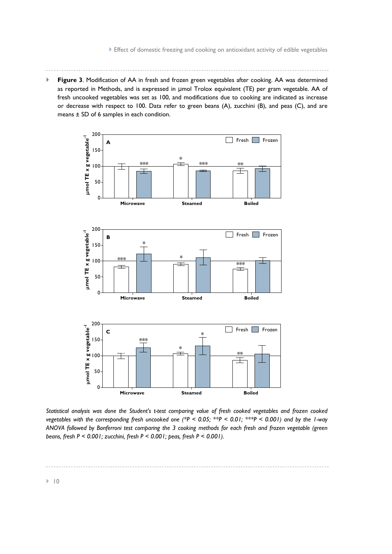**Effect of domestic freezing and cooking on antioxidant activity of edible vegetables** 

**Figure 3**. Modification of AA in fresh and frozen green vegetables after cooking. AA was determined as reported in Methods, and is expressed in μmol Trolox equivalent (TE) per gram vegetable. AA of fresh uncooked vegetables was set as 100, and modifications due to cooking are indicated as increase or decrease with respect to 100. Data refer to green beans (A), zucchini (B), and peas (C), and are means ± SD of 6 samples in each condition.



*Statistical analysis was done the Student's t-test comparing value of fresh cooked vegetables and frozen cooked vegetables with the corresponding fresh uncooked one (\*P < 0.05; \*\*P < 0.01; \*\*\*P < 0.001) and by the 1-way ANOVA followed by Bonferroni test comparing the 3 cooking methods for each fresh and frozen vegetable (green beans, fresh P < 0.001; zucchini, fresh P < 0.001; peas, fresh P < 0.001).* 

 $\blacktriangleright$  10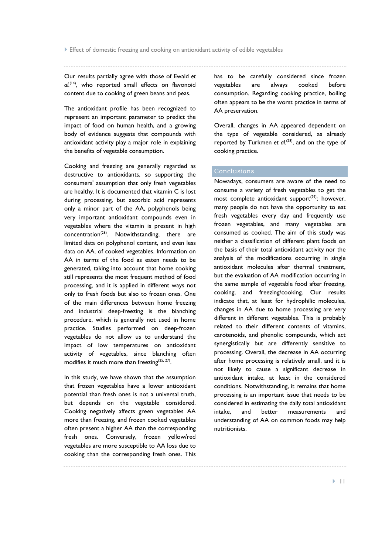$\triangleright$  Effect of domestic freezing and cooking on antioxidant activity of edible vegetables

Our results partially agree with those of Ewald *et al.*(14), who reported small effects on flavonoid content due to cooking of green beans and peas.

The antioxidant profile has been recognized to represent an important parameter to predict the impact of food on human health, and a growing body of evidence suggests that compounds with antioxidant activity play a major role in explaining the benefits of vegetable consumption.

Cooking and freezing are generally regarded as destructive to antioxidants, so supporting the consumers' assumption that only fresh vegetables are healthy. It is documented that vitamin C is lost during processing, but ascorbic acid represents only a minor part of the AA, polyphenols being very important antioxidant compounds even in vegetables where the vitamin is present in high concentration<sup> $(26)$ </sup>. Notwithstanding, there are limited data on polyphenol content, and even less data on AA, of cooked vegetables. Information on AA in terms of the food as eaten needs to be generated, taking into account that home cooking still represents the most frequent method of food processing, and it is applied in different ways not only to fresh foods but also to frozen ones. One of the main differences between home freezing and industrial deep-freezing is the blanching procedure, which is generally not used in home practice. Studies performed on deep-frozen vegetables do not allow us to understand the impact of low temperatures on antioxidant activity of vegetables, since blanching often modifies it much more than freezing<sup>(25, 27)</sup>.

In this study, we have shown that the assumption that frozen vegetables have a lower antioxidant potential than fresh ones is not a universal truth, but depends on the vegetable considered. Cooking negatively affects green vegetables AA more than freezing, and frozen cooked vegetables often present a higher AA than the corresponding fresh ones. Conversely, frozen yellow/red vegetables are more susceptible to AA loss due to cooking than the corresponding fresh ones. This

has to be carefully considered since frozen vegetables are always cooked before consumption. Regarding cooking practice, boiling often appears to be the worst practice in terms of AA preservation.

Overall, changes in AA appeared dependent on the type of vegetable considered, as already reported by Turkmen *et al.*<sup>(28)</sup>, and on the type of cooking practice.

### Conclusions

Nowadays, consumers are aware of the need to consume a variety of fresh vegetables to get the most complete antioxidant support<sup> $(29)$ </sup>; however, many people do not have the opportunity to eat fresh vegetables every day and frequently use frozen vegetables, and many vegetables are consumed as cooked. The aim of this study was neither a classification of different plant foods on the basis of their total antioxidant activity nor the analysis of the modifications occurring in single antioxidant molecules after thermal treatment, but the evaluation of AA modification occurring in the same sample of vegetable food after freezing, cooking, and freezing/cooking. Our results indicate that, at least for hydrophilic molecules, changes in AA due to home processing are very different in different vegetables. This is probably related to their different contents of vitamins, carotenoids, and phenolic compounds, which act synergistically but are differently sensitive to processing. Overall, the decrease in AA occurring after home processing is relatively small, and it is not likely to cause a significant decrease in antioxidant intake, at least in the considered conditions. Notwithstanding, it remains that home processing is an important issue that needs to be considered in estimating the daily total antioxidant intake, and better measurements and understanding of AA on common foods may help nutritionists.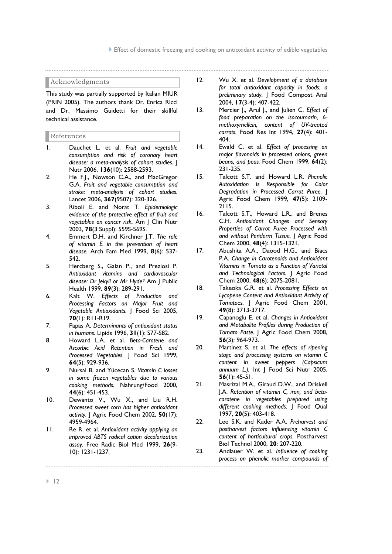$\triangleright$  Effect of domestic freezing and cooking on antioxidant activity of edible vegetables

Acknowledgments

This study was partially supported by Italian MIUR (PRIN 2005). The authors thank Dr. Enrica Ricci and Dr. Massimo Guidetti for their skillful technical assistance.

#### References

- 1. Dauchet L. et al. *Fruit and vegetable consumption and risk of coronary heart disease: a meta-analysis of cohort studies.* J Nutr 2006, **136**(10): 2588-2593.
- 2. He F.J., Nowson C.A., and MacGregor G.A. *Fruit and vegetable consumption and stroke: meta-analysis of cohort studies.* Lancet 2006, **367**(9507): 320-326.
- 3. Riboli E. and Norat T. *Epidemiologic evidence of the protective effect of fruit and vegetables on cancer risk.* Am J Clin Nutr 2003, **78**(3 Suppl): 559S-569S.
- 4. Emmert D.H. and Kirchner J.T. *The role of vitamin E in the prevention of heart disease.* Arch Fam Med 1999, **8**(6): 537- 542.
- 5. Hercberg S., Galan P., and Preziosi P. *Antioxidant vitamins and cardiovascular disease: Dr Jekyll or Mr Hyde?* Am J Public Health 1999, **89**(3): 289-291.
- 6. Kalt W. *Effects of Production and Processing Factors on Major Fruit and Vegetable Antioxidants.* J Food Sci 2005, **70**(1): R11-R19.
- 7. Papas A. *Determinants of antioxidant status in humans.* Lipids 1996, **31**(1): S77-S82.
- 8. Howard L.A. et al. *Beta-Carotene and Ascorbic Acid Retention in Fresh and Processed Vegetables.* J Food Sci 1999, **64**(5): 929-936.
- 9. Nursal B. and Yücecan S. *Vitamin C losses in some frozen vegetables due to various cooking methods.* Nahrung/Food 2000, **44**(6): 451-453.
- 10. Dewanto V., Wu X., and Liu R.H. *Processed sweet corn has higher antioxidant activity.* J Agric Food Chem 2002, **50**(17): 4959-4964.
- 11. Re R. et al. *Antioxidant activity applying an improved ABTS radical cation decolorization assay.* Free Radic Biol Med 1999, **26**(9- 10): 1231-1237.
- 12. Wu X. et al. *Development of a database for total antioxidant capacity in foods: a preliminary study.* J Food Compost Anal 2004, **17**(3-4): 407-422.
- 13. Mercier J., Arul J., and Julien C. *Effect of food preparation on the isocoumarin, 6 methoxymellein, content of UV-treated carrots.* Food Res Int 1994, **27**(4): 401- 404.
- 14. Ewald C. et al. *Effect of processing on major flavonoids in processed onions, green beans, and peas.* Food Chem 1999, **64**(2): 231-235.
- 15. Talcott S.T. and Howard L.R. *Phenolic Autoxidation Is Responsible for Color Degradation in Processed Carrot Puree.* J Agric Food Chem 1999, **47**(5): 2109- 2115.
- 16. Talcott S.T., Howard L.R., and Brenes C.H. *Antioxidant Changes and Sensory Properties of Carrot Puree Processed with and without Periderm Tissue.* J Agric Food Chem 2000, **48**(4): 1315-1321.
- 17. Abushita A.A., Daood H.G., and Biacs P.A. *Change in Carotenoids and Antioxidant Vitamins in Tomato as a Function of Varietal and Technological Factors.* J Agric Food Chem 2000, **48**(6): 2075-2081.
- 18. Takeoka G.R. et al. *Processing Effects on Lycopene Content and Antioxidant Activity of Tomatoes.* J Agric Food Chem 2001, **49**(8): 3713-3717.
- 19. Capanoglu E. et al. *Changes in Antioxidant and Metabolite Profiles during Production of Tomato Paste.* J Agric Food Chem 2008, **56**(3): 964-973.
- 20. Martinez S. et al. *The effects of ripening stage and processing systems on vitamin C content in sweet peppers (Capsicum annuum L.).* Int J Food Sci Nutr 2005, **56**(1): 45-51.
- 21. Masrizal M.A., Giraud D.W., and Driskell J.A. *Retention of vitamin C, iron, and betacarotene in vegetables prepared using different cooking methods.* J Food Qual 1997, **20**(5): 403-418.
- 22. Lee S.K. and Kader A.A. *Preharvest and postharvest factors influencing vitamin C content of horticultural crops.* Postharvest Biol Technol 2000, **20**: 207-220.
- 23. Andlauer W. et al. *Influence of cooking process on phenolic marker compounds of* ----------------------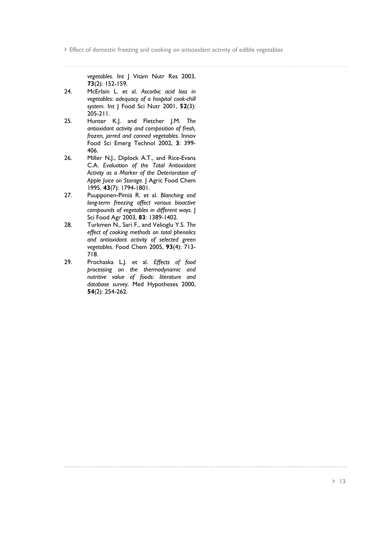$\blacktriangleright$  Effect of domestic freezing and cooking on antioxidant activity of edible vegetables

*vegetables.* Int J Vitam Nutr Res 2003, **73**(2): 152-159.

- 24. McErlain L. et al. *Ascorbic acid loss in vegetables: adequacy of a hospital cook-chill system.* Int J Food Sci Nutr 2001, **52**(3):  $205 - 211$ .
- 25. Hunter K.J. and Fletcher J.M. *The antioxidant activity and composition of fresh, frozen, jarred and canned vegetables.* Innov Food Sci Emerg Technol 2002, **3**: 399- 406.
- 26. Miller N.J., Diplock A.T., and Rice-Evans C.A. *Evaluation of the Total Antioxidant Activity as a Marker of the Deterioration of Apple Juice on Storage.* J Agric Food Chem 1995, **43**(7): 1794-1801.
- 27. Puupponen-Pimiä R. et al. *Blanching and long-term freezing affect various bioactive compounds of vegetables in different ways.* J Sci Food Agr 2003, **83**: 1389-1402.
- 28. Turkmen N., Sari F., and Velioglu Y.S. *The effect of cooking methods on total phenolics and antioxidant activity of selected green vegetables.* Food Chem 2005, **93**(4): 713- 718.
- 29. Prochaska L.J. et al. *Effects of food processing on the thermodynamic and nutritive value of foods: literature and database survey.* Med Hypotheses 2000, **54**(2): 254-262.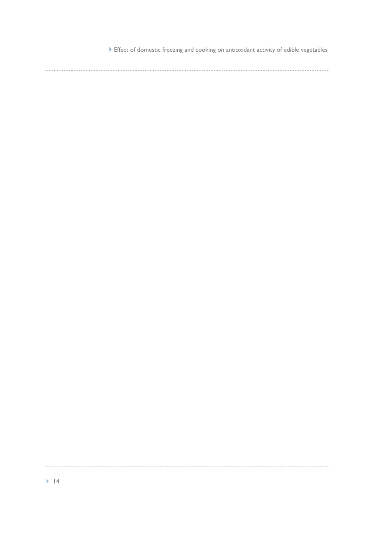$\blacktriangleright$  Effect of domestic freezing and cooking on antioxidant activity of edible vegetables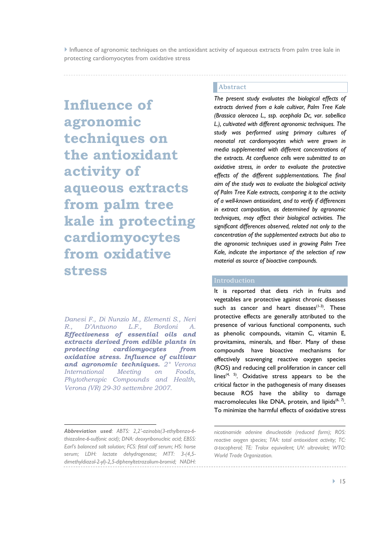` Influence of agronomic techniques on the antioxidant activity of aqueous extracts from palm tree kale in protecting cardiomyocytes from oxidative stress

**Influence of agronomic techniques on the antioxidant activity of aqueous extracts from palm tree kale in protecting cardiomyocytes from oxidative stress**

*Danesi F., Di Nunzio M., Elementi S., Neri R., D'Antuono L.F., Bordoni A. Effectiveness of essential oils and extracts derived from edible plants in protecting cardiomyocytes from oxidative stress. Influence of cultivar and agronomic techniques. 2° Verona International Meeting on Foods, Phytotherapic Compounds and Health, Verona (VR) 29-30 settembre 2007. 1*

l

## **Abstract**

*The present study evaluates the biological effects of extracts derived from a kale cultivar, Palm Tree Kale (Brassica oleracea L., ssp. acephala Dc, var. sabellica L.), cultivated with different agronomic techniques. The study was performed using primary cultures of neonatal rat cardiomyocytes which were grown in media supplemented with different concentrations of the extracts. At confluence cells were submitted to an oxidative stress, in order to evaluate the protective effects of the different supplementations. The final aim of the study was to evaluate the biological activity of Palm Tree Kale extracts, comparing it to the activity of a well-known antioxidant, and to verify if differences in extract composition, as determined by agronomic techniques, may affect their biological activities. The significant differences observed, related not only to the concentration of the supplemented extracts but also to the agronomic techniques used in growing Palm Tree Kale, indicate the importance of the selection of raw material as source of bioactive compounds.* 

1

It is reported that diets rich in fruits and vegetables are protective against chronic diseases such as cancer and heart diseases $(1-3)$ . These protective effects are generally attributed to the presence of various functional components, such as phenolic compounds, vitamin C, vitamin E, provitamins, minerals, and fiber. Many of these compounds have bioactive mechanisms for effectively scavenging reactive oxygen species (ROS) and reducing cell proliferation in cancer cell lines<sup>(4, 5)</sup>. Oxidative stress appears to be the critical factor in the pathogenesis of many diseases because ROS have the ability to damage macromolecules like DNA, protein, and lipids $<sup>(6, 7)</sup>$ .</sup> To minimize the harmful effects of oxidative stress

*Abbreviation used: ABTS: 2,2'-azinobis(3-ethylbenzo-6 thiazoline-6-sulfonic acid); DNA: deoxyribonucleic acid; EBSS: Earl's balanced salt solution; FCS: fetal calf serum; HS: horse serum; LDH: lactate dehydrogenase; MTT: 3-(4,5 dimethyldiazol-2-yl)-2,5-diphenyltetrazolium-bromid; NADH:* 

*nicotinamide adenine dinucleotide (reduced form); ROS: reactive oxygen species; TAA: total antioxidant activity; TC: α-tocopherol; TE: Trolox equivalent; UV: ultraviolet; WTO: World Trade Organization.*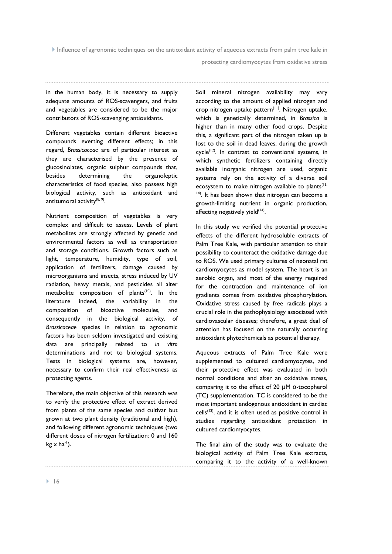` Influence of agronomic techniques on the antioxidant activity of aqueous extracts from palm tree kale in

protecting cardiomyocytes from oxidative stress

in the human body, it is necessary to supply adequate amounts of ROS-scavengers, and fruits and vegetables are considered to be the major contributors of ROS-scavenging antioxidants.

Different vegetables contain different bioactive compounds exerting different effects; in this regard, *Brassicaceae* are of particular interest as they are characterised by the presence of glucosinolates, organic sulphur compounds that, besides determining the organoleptic characteristics of food species, also possess high biological activity, such as antioxidant and antitumoral activity $^{(8, 9)}$ .

Nutrient composition of vegetables is very complex and difficult to assess. Levels of plant metabolites are strongly affected by genetic and environmental factors as well as transportation and storage conditions. Growth factors such as light, temperature, humidity, type of soil, application of fertilizers, damage caused by microorganisms and insects, stress induced by UV radiation, heavy metals, and pesticides all alter metabolite composition of plants $(10)$ . In the literature indeed, the variability in the composition of bioactive molecules, and consequently in the biological activity, of *Brassicaceae* species in relation to agronomic factors has been seldom investigated and existing data are principally related to *in vitro* determinations and not to biological systems. Tests in biological systems are, however, necessary to confirm their real effectiveness as protecting agents.

Therefore, the main objective of this research was to verify the protective effect of extract derived from plants of the same species and cultivar but grown at two plant density (traditional and high), and following different agronomic techniques (two different doses of nitrogen fertilization: 0 and 160  $kg \times ha^{-1}$ ).

Soil mineral nitrogen availability may vary according to the amount of applied nitrogen and crop nitrogen uptake pattern<sup>(11)</sup>. Nitrogen uptake, which is genetically determined, in *Brassica* is higher than in many other food crops. Despite this, a significant part of the nitrogen taken up is lost to the soil in dead leaves, during the growth cycle<sup>(12)</sup>. In contrast to conventional systems, in which synthetic fertilizers containing directly available inorganic nitrogen are used, organic systems rely on the activity of a diverse soil ecosystem to make nitrogen available to plants<sup> $(13)$ </sup> <sup>14)</sup>. It has been shown that nitrogen can become a growth-limiting nutrient in organic production, affecting negatively yield $(14)$ .

In this study we verified the potential protective effects of the different hydrosoluble extracts of Palm Tree Kale, with particular attention to their possibility to counteract the oxidative damage due to ROS. We used primary cultures of neonatal rat cardiomyocytes as model system. The heart is an aerobic organ, and most of the energy required for the contraction and maintenance of ion gradients comes from oxidative phosphorylation. Oxidative stress caused by free radicals plays a crucial role in the pathophysiology associated with cardiovascular diseases; therefore, a great deal of attention has focused on the naturally occurring antioxidant phytochemicals as potential therapy.

Aqueous extracts of Palm Tree Kale were supplemented to cultured cardiomyocytes, and their protective effect was evaluated in both normal conditions and after an oxidative stress, comparing it to the effect of 20 μM α-tocopherol (TC) supplementation. TC is considered to be the most important endogenous antioxidant in cardiac  $cells^{(12)}$ , and it is often used as positive control in studies regarding antioxidant protection in cultured cardiomyocytes.

The final aim of the study was to evaluate the biological activity of Palm Tree Kale extracts, comparing it to the activity of a well-known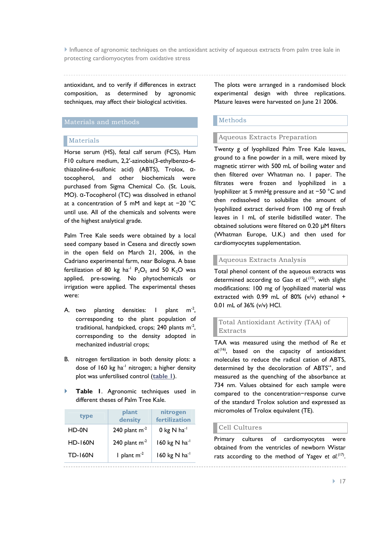` Influence of agronomic techniques on the antioxidant activity of aqueous extracts from palm tree kale in protecting cardiomyocytes from oxidative stress

antioxidant, and to verify if differences in extract composition, as determined by agronomic techniques, may affect their biological activities.

# Materials

Horse serum (HS), fetal calf serum (FCS), Ham F10 culture medium, 2,2′-azinobis(3-ethylbenzo-6 thiazoline-6-sulfonic acid) (ABTS), Trolox, αtocopherol, and other biochemicals were purchased from Sigma Chemical Co. (St. Louis, MO). α-Tocopherol (TC) was dissolved in ethanol at a concentration of 5 mM and kept at −20 °C until use. All of the chemicals and solvents were of the highest analytical grade.

Palm Tree Kale seeds were obtained by a local seed company based in Cesena and directly sown in the open field on March 21, 2006, in the Cadriano experimental farm, near Bologna. A base fertilization of 80 kg ha<sup>-1</sup>  $P_2O_5$  and 50 K<sub>2</sub>O was applied, pre-sowing. No phytochemicals or irrigation were applied. The experimental theses were:

- A. two planting densities:  $1$  plant m<sup>-2</sup>, corresponding to the plant population of traditional, handpicked, crops;  $240$  plants m<sup>-2</sup>, corresponding to the density adopted in mechanized industrial crops;
- B. nitrogen fertilization in both density plots: a dose of 160 kg ha<sup>-1</sup> nitrogen; a higher density plot was unfertilised control (**table 1**).
- ` **Table 1**. Agronomic techniques used in different theses of Palm Tree Kale.

| type           | plant<br>density          | nitrogen<br>fertilization         |
|----------------|---------------------------|-----------------------------------|
| HD-0N          | 240 plant $m-2$           | $0 \text{ kg}$ N ha <sup>-1</sup> |
| <b>HD-160N</b> | 240 plant $m-2$           | 160 kg N ha <sup>-1</sup>         |
| <b>TD-160N</b> | $1$ plant m <sup>-2</sup> | 160 kg N ha <sup>-1</sup>         |

The plots were arranged in a randomised block experimental design with three replications. Mature leaves were harvested on June 21 2006.

# Methods

# Aqueous Extracts Preparation

Twenty g of lyophilized Palm Tree Kale leaves, ground to a fine powder in a mill, were mixed by magnetic stirrer with 500 mL of boiling water and then filtered over Whatman no. 1 paper. The filtrates were frozen and lyophilized in a lyophilizer at 5 mmHg pressure and at −50 °C and then redissolved to solubilize the amount of lyophilized extract derived from 100 mg of fresh leaves in 1 mL of sterile bidistilled water. The obtained solutions were filtered on 0.20 μM filters (Whatman Europe, U.K.) and then used for cardiomyocytes supplementation.

Aqueous Extracts Analysis

Total phenol content of the aqueous extracts was determined according to Gao et al.<sup>(15)</sup>, with slight modifications: 100 mg of lyophilized material was extracted with 0.99 mL of 80% (v/v) ethanol + 0.01 mL of 36% (v/v) HCl.

# Total Antioxidant Activity (TAA) of Extracts

TAA was measured using the method of Re *et al.*(16), based on the capacity of antioxidant molecules to reduce the radical cation of ABTS, determined by the decoloration of ABTS\*, and measured as the quenching of the absorbance at 734 nm. Values obtained for each sample were compared to the concentration−response curve of the standard Trolox solution and expressed as micromoles of Trolox equivalent (TE).

# Cell Cultures

Primary cultures of cardiomyocytes were obtained from the ventricles of newborn Wistar rats according to the method of Yagev et al.<sup>(17)</sup>.

------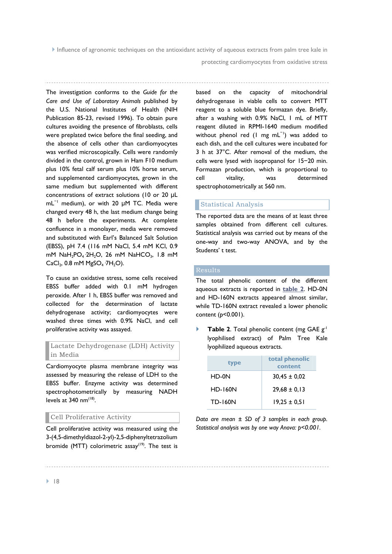$\blacktriangleright$  Influence of agronomic techniques on the antioxidant activity of aqueous extracts from palm tree kale in

protecting cardiomyocytes from oxidative stress

The investigation conforms to the *Guide for the Care and Use of Laboratory Animals* published by the U.S. National Institutes of Health (NIH Publication 85-23, revised 1996). To obtain pure cultures avoiding the presence of fibroblasts, cells were preplated twice before the final seeding, and the absence of cells other than cardiomyocytes was verified microscopically. Cells were randomly divided in the control, grown in Ham F10 medium plus 10% fetal calf serum plus 10% horse serum, and supplemented cardiomyocytes, grown in the same medium but supplemented with different concentrations of extract solutions (10 or 20 μL mL<sup>-1</sup> medium), or with 20 μM TC. Media were changed every 48 h, the last medium change being 48 h before the experiments. At complete confluence in a monolayer, media were removed and substituted with Earl's Balanced Salt Solution (EBSS), pH 7.4 (116 mM NaCl, 5.4 mM KCl, 0.9 mM  $NaH_2PO_4.2H_2O$ , 26 mM  $NaHCO_3$ , 1.8 mM CaCl<sub>2</sub>, 0.8 mM MgSO<sub>4</sub>  $-7H$ <sub>2</sub>O).

To cause an oxidative stress, some cells received EBSS buffer added with 0.1 mM hydrogen peroxide. After 1 h, EBSS buffer was removed and collected for the determination of lactate dehydrogenase activity; cardiomyocytes were washed three times with 0.9% NaCl, and cell proliferative activity was assayed.

# Lactate Dehydrogenase (LDH) Activity in Media

Cardiomyocyte plasma membrane integrity was assessed by measuring the release of LDH to the EBSS buffer. Enzyme activity was determined spectrophotometrically by measuring NADH levels at 340 nm<sup> $(18)$ </sup>.

# Cell Proliferative Activity

Cell proliferative activity was measured using the 3-(4,5-dimethyldiazol-2-yl)-2,5-diphenyltetrazolium bromide (MTT) colorimetric assay<sup> $(19)$ </sup>. The test is

based on the capacity of mitochondrial dehydrogenase in viable cells to convert MTT reagent to a soluble blue formazan dye. Briefly, after a washing with 0.9% NaCl, 1 mL of MTT reagent diluted in RPMI-1640 medium modified without phenol red (1 mg mL<sup>-1</sup>) was added to each dish, and the cell cultures were incubated for 3 h at 37°C. After removal of the medium, the cells were lysed with isopropanol for 15−20 min. Formazan production, which is proportional to cell vitality, was determined spectrophotometrically at 560 nm.

# Statistical Analysis

The reported data are the means of at least three samples obtained from different cell cultures. Statistical analysis was carried out by means of the one-way and two-way ANOVA, and by the Students' t test.

The total phenolic content of the different aqueous extracts is reported in **table 2**. HD-0N and HD-160N extracts appeared almost similar, while TD-160N extract revealed a lower phenolic content (p<0.001).

**Table 2.** Total phenolic content (mg GAE  $g^{-1}$ ) lyophilised extract) of Palm Tree Kale lyophilized aqueous extracts.

| type           | total phenolic<br>content |
|----------------|---------------------------|
| HD-0N          | $30.45 \pm 0.02$          |
| <b>HD-160N</b> | $29.68 \pm 0.13$          |
| TD-160N        | $19.25 \pm 0.51$          |

*Data are mean ± SD of 3 samples in each group. Statistical analysis was by one way Anova: p<0.001.*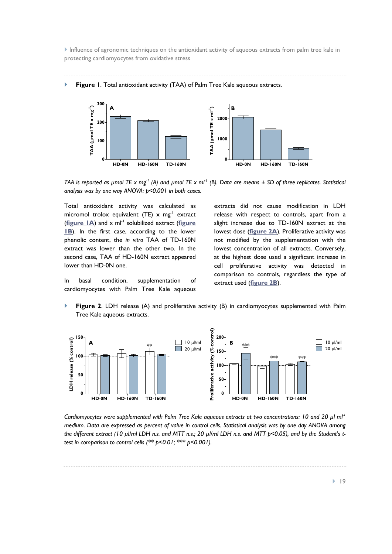` Influence of agronomic techniques on the antioxidant activity of aqueous extracts from palm tree kale in protecting cardiomyocytes from oxidative stress



### **Figure 1.** Total antioxidant activity (TAA) of Palm Tree Kale aqueous extracts.

*TAA is reported as µmol TE x mg<sup>-1</sup> (A) and µmol TE x ml<sup>-1</sup> (B). Data are means*  $\pm$  *SD of three replicates. Statistical analysis was by one way ANOVA: p<0.001 in both cases.* 

Total antioxidant activity was calculated as micromol trolox equivalent (TE)  $\times$  mg<sup>-1</sup> extract (**figure 1A**) and x ml-1 solubilized extract (**figure 1B**). In the first case, according to the lower phenolic content, the *in vitro* TAA of TD-160N extract was lower than the other two. In the second case, TAA of HD-160N extract appeared lower than HD-0N one.

In basal condition, supplementation of cardiomyocytes with Palm Tree Kale aqueous

extracts did not cause modification in LDH release with respect to controls, apart from a slight increase due to TD-160N extract at the lowest dose (**figure 2A**). Proliferative activity was not modified by the supplementation with the lowest concentration of all extracts. Conversely, at the highest dose used a significant increase in cell proliferative activity was detected in comparison to controls, regardless the type of extract used (**figure 2B**).

▶ **Figure 2**. LDH release (A) and proliferative activity (B) in cardiomyocytes supplemented with Palm Tree Kale aqueous extracts.



*Cardiomyocytes were supplemented with Palm Tree Kale aqueous extracts at two concentrations: 10 and 20 µl ml-1 medium. Data are expressed as percent of value in control cells. Statistical analysis was by one day ANOVA among the different extract (10 µl/ml LDH n.s. and MTT n.s.; 20 µl/ml LDH n.s. and MTT p<0.05), and by the Student's ttest in comparison to control cells (\*\* p<0.01; \*\*\* p<0.001).* 

 $| 9$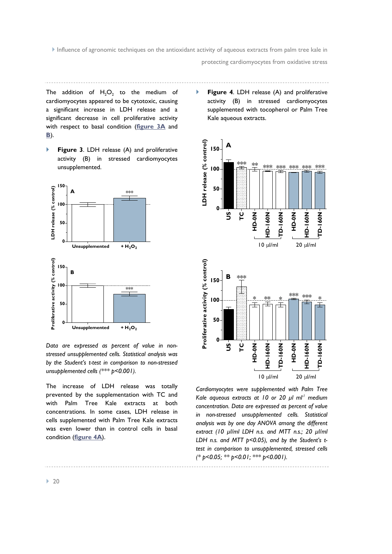$\blacktriangleright$  Influence of agronomic techniques on the antioxidant activity of aqueous extracts from palm tree kale in

protecting cardiomyocytes from oxidative stress

The addition of  $H_2O_2$  to the medium of cardiomyocytes appeared to be cytotoxic, causing a significant increase in LDH release and a significant decrease in cell proliferative activity with respect to basal condition (**figure 3A** and **B**).

**Figure 3. LDH** release (A) and proliferative activity (B) in stressed cardiomyocytes unsupplemented.



*Data are expressed as percent of value in nonstressed unsupplemented cells. Statistical analysis was by the Student's t-test in comparison to non-stressed unsupplemented cells (\*\*\* p<0.001).* 

The increase of LDH release was totally prevented by the supplementation with TC and with Palm Tree Kale extracts at both concentrations. In some cases, LDH release in cells supplemented with Palm Tree Kale extracts was even lower than in control cells in basal condition (**figure 4A**).

**Figure 4.** LDH release (A) and proliferative activity (B) in stressed cardiomyocytes supplemented with tocopherol or Palm Tree Kale aqueous extracts.



*Cardiomyocytes were supplemented with Palm Tree*  Kale aqueous extracts at 10 or 20 µl ml<sup>1</sup> medium *concentration. Data are expressed as percent of value in non-stressed unsupplemented cells. Statistical analysis was by one day ANOVA among the different extract (10 µl/ml LDH n.s. and MTT n.s.; 20 µl/ml*  LDH n.s. and MTT p<0.05), and by the Student's t*test in comparison to unsupplemented, stressed cells (\* p<0.05; \*\* p<0.01; \*\*\* p<0.001).*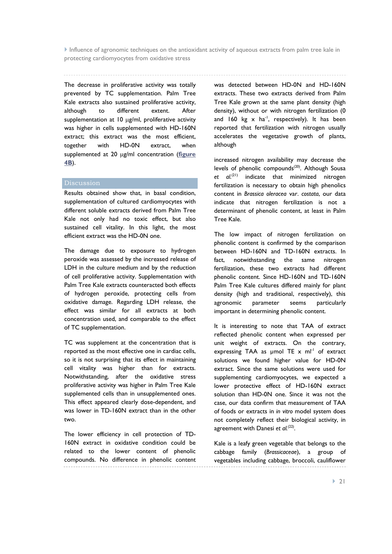` Influence of agronomic techniques on the antioxidant activity of aqueous extracts from palm tree kale in protecting cardiomyocytes from oxidative stress

The decrease in proliferative activity was totally prevented by TC supplementation. Palm Tree Kale extracts also sustained proliferative activity, although to different extent. After supplementation at 10 μg/ml, proliferative activity was higher in cells supplemented with HD-160N extract; this extract was the most efficient, together with HD-0N extract, when supplemented at 20 μg/ml concentration (**figure 4B**).

### Discussion

Results obtained show that, in basal condition, supplementation of cultured cardiomyocytes with different soluble extracts derived from Palm Tree Kale not only had no toxic effect, but also sustained cell vitality. In this light, the most efficient extract was the HD-0N one.

The damage due to exposure to hydrogen peroxide was assessed by the increased release of LDH in the culture medium and by the reduction of cell proliferative activity. Supplementation with Palm Tree Kale extracts counteracted both effects of hydrogen peroxide, protecting cells from oxidative damage. Regarding LDH release, the effect was similar for all extracts at both concentration used, and comparable to the effect of TC supplementation.

TC was supplement at the concentration that is reported as the most effective one in cardiac cells, so it is not surprising that its effect in maintaining cell vitality was higher than for extracts. Notwithstanding, after the oxidative stress proliferative activity was higher in Palm Tree Kale supplemented cells than in unsupplemented ones. This effect appeared clearly dose-dependent, and was lower in TD-160N extract than in the other two.

The lower efficiency in cell protection of TD-160N extract in oxidative condition could be related to the lower content of phenolic compounds. No difference in phenolic content was detected between HD-0N and HD-160N extracts. These two extracts derived from Palm Tree Kale grown at the same plant density (high density), without or with nitrogen fertilization (0 and 160 kg  $\times$  ha<sup>-1</sup>, respectively). It has been reported that fertilization with nitrogen usually accelerates the vegetative growth of plants, although

increased nitrogen availability may decrease the levels of phenolic compounds<sup>(20)</sup>. Although Sousa *et al.*(21) indicate that minimized nitrogen fertilization is necessary to obtain high phenolics content in *Brassica oleracea* var. *costata*, our data indicate that nitrogen fertilization is not a determinant of phenolic content, at least in Palm Tree Kale.

The low impact of nitrogen fertilization on phenolic content is confirmed by the comparison between HD-160N and TD-160N extracts. In fact, notwithstanding the same nitrogen fertilization, these two extracts had different phenolic content. Since HD-160N and TD-160N Palm Tree Kale cultures differed mainly for plant density (high and traditional, respectively), this agronomic parameter seems particularly important in determining phenolic content.

It is interesting to note that TAA of extract reflected phenolic content when expressed per unit weight of extracts. On the contrary, expressing TAA as  $\mu$ mol TE x ml<sup>-1</sup> of extract solutions we found higher value for HD-0N extract. Since the same solutions were used for supplementing cardiomyocytes, we expected a lower protective effect of HD-160N extract solution than HD-0N one. Since it was not the case, our data confirm that measurement of TAA of foods or extracts in *in vitro* model system does not completely reflect their biological activity, in agreement with Danesi et al.<sup>(22)</sup>.

Kale is a leafy green vegetable that belongs to the cabbage family (*Brassicaceae*), a group of vegetables including cabbage, broccoli, cauliflower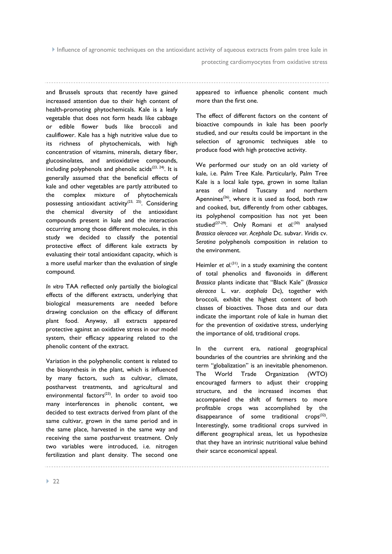` Influence of agronomic techniques on the antioxidant activity of aqueous extracts from palm tree kale in

protecting cardiomyocytes from oxidative stress

and Brussels sprouts that recently have gained increased attention due to their high content of health-promoting phytochemicals. Kale is a leafy vegetable that does not form heads like cabbage or edible flower buds like broccoli and cauliflower. Kale has a high nutritive value due to its richness of phytochemicals, with high concentration of vitamins, minerals, dietary fiber, glucosinolates, and antioxidative compounds, including polyphenols and phenolic acids<sup> $(23, 24)$ </sup>. It is generally assumed that the beneficial effects of kale and other vegetables are partly attributed to the complex mixture of phytochemicals possessing antioxidant activity<sup>(23, 25)</sup>. Considering the chemical diversity of the antioxidant compounds present in kale and the interaction occurring among those different molecules, in this study we decided to classify the potential protective effect of different kale extracts by evaluating their total antioxidant capacity, which is a more useful marker than the evaluation of single compound.

*In vitro* TAA reflected only partially the biological effects of the different extracts, underlying that biological measurements are needed before drawing conclusion on the efficacy of different plant food. Anyway, all extracts appeared protective against an oxidative stress in our model system, their efficacy appearing related to the phenolic content of the extract.

Variation in the polyphenolic content is related to the biosynthesis in the plant, which is influenced by many factors, such as cultivar, climate, postharvest treatments, and agricultural and environmental factors $(23)$ . In order to avoid too many interferences in phenolic content, we decided to test extracts derived from plant of the same cultivar, grown in the same period and in the same place, harvested in the same way and receiving the same postharvest treatment. Only two variables were introduced, i.e. nitrogen fertilization and plant density. The second one appeared to influence phenolic content much more than the first one.

The effect of different factors on the content of bioactive compounds in kale has been poorly studied, and our results could be important in the selection of agronomic techniques able to produce food with high protective activity.

We performed our study on an old variety of kale, i.e. Palm Tree Kale. Particularly, Palm Tree Kale is a local kale type, grown in some Italian areas of inland Tuscany and northern Apennines<sup>(26)</sup>, where it is used as food, both raw and cooked, but, differently from other cabbages, its polyphenol composition has not yet been studied<sup>(27-29)</sup>. Only Romani et al.<sup>(30)</sup> analysed *Brassica oleracea var. Acephala* Dc. subvar. *Viridis* cv. *Serotina* polyphenols composition in relation to the environment.

Heimler *et*  $al^{(31)}$ *,* in a study examining the content of total phenolics and flavonoids in different *Brassica* plants indicate that "Black Kale" (*Brassica oleracea* L. var. *acephala* Dc), together with broccoli, exhibit the highest content of both classes of bioactives. Those data and our data indicate the important role of kale in human diet for the prevention of oxidative stress, underlying the importance of old, traditional crops.

In the current era, national geographical boundaries of the countries are shrinking and the term "globalization" is an inevitable phenomenon. The World Trade Organization (WTO) encouraged farmers to adjust their cropping structure, and the increased incomes that accompanied the shift of farmers to more profitable crops was accomplished by the disappearance of some traditional  $\text{crops}^{(32)}$ . Interestingly, some traditional crops survived in different geographical areas, let us hypothesize that they have an intrinsic nutritional value behind their scarce economical appeal.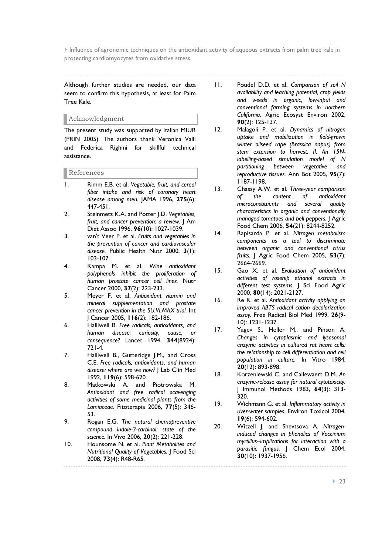` Influence of agronomic techniques on the antioxidant activity of aqueous extracts from palm tree kale in protecting cardiomyocytes from oxidative stress

Although further studies are needed, our data seem to confirm this hypothesis, at least for Palm Tree Kale.

# Acknowledgment

The present study was supported by Italian MIUR (PRIN 2005). The authors thank Veronica Valli and Federica Righini for skillful technical assistance.

### References

- 1. Rimm E.B. et al. *Vegetable, fruit, and cereal fiber intake and risk of coronary heart disease among men.* JAMA 1996, **275**(6): 447-451.
- 2. Steinmetz K.A. and Potter J.D. *Vegetables, fruit, and cancer prevention: a review.* J Am Diet Assoc 1996, **96**(10): 1027-1039.
- 3. van't Veer P. et al. *Fruits and vegetables in the prevention of cancer and cardiovascular disease.* Public Health Nutr 2000, **3**(1): 103-107.
- 4. Kampa M. et al. *Wine antioxidant polyphenols inhibit the proliferation of human prostate cancer cell lines.* Nutr Cancer 2000, **37**(2): 223-233.
- 5. Meyer F. et al. *Antioxidant vitamin and mineral supplementation and prostate cancer prevention in the SU.VI.MAX trial.* Int J Cancer 2005, **116**(2): 182-186.
- 6. Halliwell B. *Free radicals, antioxidants, and human disease: curiosity, cause, or consequence?* Lancet 1994, **344**(8924): 721-4.
- 7. Halliwell B., Gutteridge J.M., and Cross C.E. *Free radicals, antioxidants, and human disease: where are we now?* J Lab Clin Med 1992, **119**(6): 598-620.
- 8. Matkowski A. and Piotrowska M. *Antioxidant and free radical scavenging activities of some medicinal plants from the Lamiaceae.* Fitoterapia 2006, **77**(5): 346- 53.
- 9. Rogan E.G. *The natural chemopreventive compound indole-3-carbinol: state of the science.* In Vivo 2006, **20**(2): 221-228.
- 10. Hounsome N. et al. *Plant Metabolites and Nutritional Quality of Vegetables.* J Food Sci 2008, **73**(4): R48-R65.
- 11. Poudel D.D. et al. *Comparison of soil N availability and leaching potential, crop yields and weeds in organic, low-input and conventional farming systems in northern California.* Agric Ecosyst Environ 2002, **90**(2): 125-137.
- 12. Malagoli P. et al. *Dynamics of nitrogen uptake and mobilization in field-grown winter oilseed rape (Brassica napus) from stem extension to harvest. II. An 15Nlabelling-based simulation model of N partitioning between vegetative and reproductive tissues.* Ann Bot 2005, **95**(7): 1187-1198.
- 13. Chassy A.W. et al. *Three-year comparison of the content of antioxidant microconstituents and several quality characteristics in organic and conventionally managed tomatoes and bell peppers.* J Agric Food Chem 2006, **54**(21): 8244-8252.
- 14. Rapisarda P. et al. *Nitrogen metabolism components as a tool to discriminate between organic and conventional citrus fruits.* J Agric Food Chem 2005, **53**(7): 2664-2669.
- 15. Gao X. et al. *Evaluation of antioxidant activities of rosehip ethanol extracts in different test systems.* J Sci Food Agric 2000, **80**(14): 2021-2127.
- 16. Re R. et al. *Antioxidant activity applying an improved ABTS radical cation decolorization assay.* Free Radical Biol Med 1999, **26**(9- 10): 1231-1237.
- 17. Yagev S., Heller M., and Pinson A. *Changes in cytoplasmic and lysosomal enzyme activities in cultured rat heart cells: the relationship to cell differentiation and cell population in culture.* In Vitro 1984, **20**(12): 893-898.
- 18. Korzeniewski C. and Callewaert D.M. *An enzyme-release assay for natural cytotoxicity.* J Immunol Methods 1983, **64**(3): 313- 320.
- 19. Wichmann G. et al. *Inflammatory activity in river-water samples.* Environ Toxicol 2004, **19**(6): 594-602.
- 20. Witzell J. and Shevtsova A. *Nitrogeninduced changes in phenolics of Vaccinium myrtillus--implications for interaction with a parasitic fungus.* J Chem Ecol 2004, **30**(10): 1937-1956.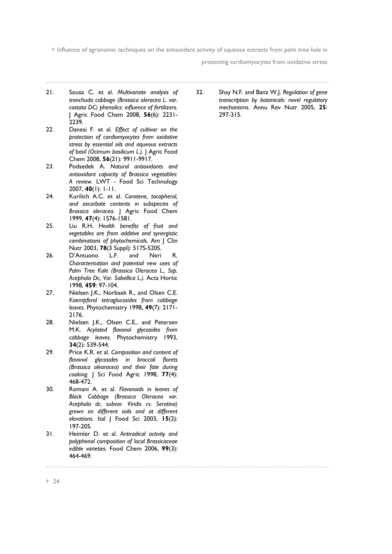` Influence of agronomic techniques on the antioxidant activity of aqueous extracts from palm tree kale in

protecting cardiomyocytes from oxidative stress

- 21. Sousa C. et al. *Multivariate analysis of tronchuda cabbage (Brassica oleracea L. var. costata DC) phenolics: influence of fertilizers.* J Agric Food Chem 2008, **56**(6): 2231- 2239.
- 22. Danesi F. et al. *Effect of cultivar on the protection of cardiomyocytes from oxidative stress by essential oils and aqueous extracts of basil (Ocimum basilicum L.).* J Agric Food Chem 2008, **56**(21): 9911-9917.
- 23. Podsedek A. *Natural antioxidants and antioxidant capacity of Brassica vegetables: A review.* LWT - Food Sci Technology 2007, **40**(1): 1-11.
- 24. Kurilich A.C. et al. *Carotene, tocopherol, and ascorbate contents in subspecies of Brassica oleracea.* J Agric Food Chem 1999, **47**(4): 1576-1581.
- 25. Liu R.H. *Health benefits of fruit and vegetables are from additive and synergistic combinations of phytochemicals.* Am J Clin Nutr 2003, **78**(3 Suppl): 517S-520S.
- 26. D'Antuono L.F. and Neri R. *Characterisation and potential new uses of Palm Tree Kale (Brassica Oleracea L., Ssp. Acephala Dc, Var. Sabellica L.).* Acta Hortic 1998, **459**: 97-104.
- 27. Nielsen J.K., Norbaek R., and Olsen C.E. *Kaempferol tetraglucosides from cabbage leaves.* Phytochemistry 1998, **49**(7): 2171- 2176.
- 28. Nielsen J.K., Olsen C.E., and Petersen M.K. *Acylated flavonol glycosides from cabbage leaves.* Phytochemistry 1993, **34**(2): 539-544.
- 29. Price K.R. et al. *Composition and content of flavonol glycosides in broccoli florets (Brassica olearacea) and their fate during cooking.* J Sci Food Agric 1998, **77**(4): 468-472.
- 30. Romani A. et al. *Flavonoids in leaves of Black Cabbage (Brassica Oleracea var. Acephala dc. subvar. Viridis cv. Serotina) grown on different soils and at different elevations.* Ital J Food Sci 2003, **15**(2): 197-205.
- 31. Heimler D. et al. *Antiradical activity and polyphenol composition of local Brassicaceae edible varieties.* Food Chem 2006, **99**(3): 464-469.

32. Shay N.F. and Banz W.J. *Regulation of gene transcription by botanicals: novel regulatory mechanisms.* Annu Rev Nutr 2005, **25**: 297-315.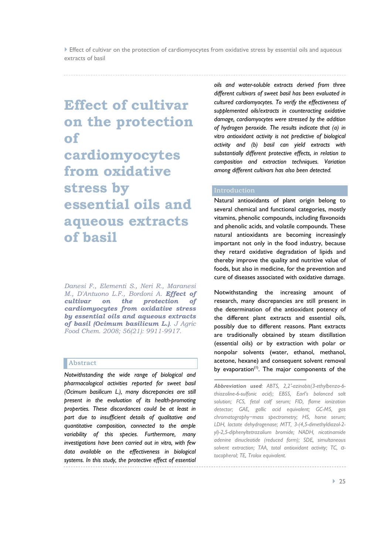` Effect of cultivar on the protection of cardiomyocytes from oxidative stress by essential oils and aqueous extracts of basil

# **Effect of cultivar on the protection of cardiomyocytes from oxidative stress by essential oils and aqueous extracts of basil**

*Danesi F., Elementi S., Neri R., Maranesi M., D'Antuono L.F., Bordoni A. Effect of cultivar on the protection of cardiomyocytes from oxidative stress by essential oils and aqueous extracts of basil (Ocimum basilicum L.). J Agric Food Chem. 2008; 56(21): 9911-9917.*

# Abstract

*Notwithstanding the wide range of biological and pharmacological activities reported for sweet basil (Ocimum basilicum L.), many discrepancies are still present in the evaluation of its health-promoting properties. These discordances could be at least in part due to insufficient details of qualitative and quantitative composition, connected to the ample variability of this species. Furthermore, many investigations have been carried out in vitro, with few data available on the effectiveness in biological systems. In this study, the protective effect of essential* 

*oils and water-soluble extracts derived from three different cultivars of sweet basil has been evaluated in cultured cardiomyocytes. To verify the effectiveness of supplemented oils/extracts in counteracting oxidative damage, cardiomyocytes were stressed by the addition of hydrogen peroxide. The results indicate that (a) in vitro antioxidant activity is not predictive of biological activity and (b) basil can yield extracts with substantially different protective effects, in relation to composition and extraction techniques. Variation*  among different cultivars has also been detected.

1

Natural antioxidants of plant origin belong to several chemical and functional categories, mostly vitamins, phenolic compounds, including flavonoids and phenolic acids, and volatile compounds. These natural antioxidants are becoming increasingly important not only in the food industry, because they retard oxidative degradation of lipids and thereby improve the quality and nutritive value of foods, but also in medicine, for the prevention and cure of diseases associated with oxidative damage.

Notwithstanding the increasing amount of research, many discrepancies are still present in the determination of the antioxidant potency of the different plant extracts and essential oils, possibly due to different reasons. Plant extracts are traditionally obtained by steam distillation (essential oils) or by extraction with polar or nonpolar solvents (water, ethanol, methanol, acetone, hexane) and consequent solvent removal by evaporation $(1)$ . The major components of the

*Abbreviation used: ABTS, 2,2′-azinobis(3-ethylbenzo-6 thiazoline-6-sulfonic acid); EBSS, Earl's balanced salt solution; FCS, fetal calf serum; FID, flame ionization detector; GAE, gallic acid equivalent; GC-MS, gas chromatography−mass spectrometry; HS, horse serum; LDH, lactate dehydrogenase; MTT, 3-(4,5-dimethyldiazol-2 yl)-2,5-diphenyltetrazolium bromide; NADH, nicotinamide adenine dinucleotide (reduced form); SDE, simultaneous solvent extraction; TAA, total antioxidant activity; TC, αtocopherol; TE, Trolox equivalent.*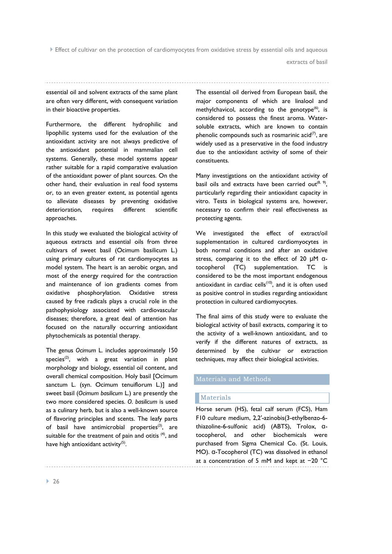` Effect of cultivar on the protection of cardiomyocytes from oxidative stress by essential oils and aqueous

extracts of basil

essential oil and solvent extracts of the same plant are often very different, with consequent variation in their bioactive properties.

Furthermore, the different hydrophilic and lipophilic systems used for the evaluation of the antioxidant activity are not always predictive of the antioxidant potential in mammalian cell systems. Generally, these model systems appear rather suitable for a rapid comparative evaluation of the antioxidant power of plant sources. On the other hand, their evaluation in real food systems or, to an even greater extent, as potential agents to alleviate diseases by preventing oxidative deterioration, requires different scientific approaches.

In this study we evaluated the biological activity of aqueous extracts and essential oils from three cultivars of sweet basil (Ocimum basilicum L.) using primary cultures of rat cardiomyocytes as model system. The heart is an aerobic organ, and most of the energy required for the contraction and maintenance of ion gradients comes from oxidative phosphorylation. Oxidative stress caused by free radicals plays a crucial role in the pathophysiology associated with cardiovascular diseases; therefore, a great deal of attention has focused on the naturally occurring antioxidant phytochemicals as potential therapy.

The genus *Ocimum* L. includes approximately 150 species<sup>(2)</sup>, with a great variation in plant morphology and biology, essential oil content, and overall chemical composition. Holy basil [Ocimum sanctum L. (syn. Ocimum tenuiflorum L.)] and sweet basil (*Ocimum basilicum* L.) are presently the two more considered species. *O. basilicum* is used as a culinary herb, but is also a well-known source of flavoring principles and scents. The leafy parts of basil have antimicrobial properties $(3)$ , are suitable for the treatment of pain and otitis  $(4)$ , and have high antioxidant activity $(5)$ .

The essential oil derived from European basil, the major components of which are linalool and methylchavicol, according to the genotype $(6)$ , is considered to possess the finest aroma. Watersoluble extracts, which are known to contain phenolic compounds such as rosmarinic acid $(7)$ , are widely used as a preservative in the food industry due to the antioxidant activity of some of their constituents.

Many investigations on the antioxidant activity of basil oils and extracts have been carried out<sup>(8, 9)</sup>, particularly regarding their antioxidant capacity in vitro. Tests in biological systems are, however, necessary to confirm their real effectiveness as protecting agents.

We investigated the effect of extract/oil supplementation in cultured cardiomyocytes in both normal conditions and after an oxidative stress, comparing it to the effect of 20 μM αtocopherol (TC) supplementation. TC is considered to be the most important endogenous antioxidant in cardiac cells<sup> $(10)$ </sup>, and it is often used as positive control in studies regarding antioxidant protection in cultured cardiomyocytes.

The final aims of this study were to evaluate the biological activity of basil extracts, comparing it to the activity of a well-known antioxidant, and to verify if the different natures of extracts, as determined by the cultivar or extraction techniques, may affect their biological activities.

### Materials

Horse serum (HS), fetal calf serum (FCS), Ham F10 culture medium, 2,2′-azinobis(3-ethylbenzo-6 thiazoline-6-sulfonic acid) (ABTS), Trolox, αtocopherol, and other biochemicals were purchased from Sigma Chemical Co. (St. Louis, MO). α-Tocopherol (TC) was dissolved in ethanol at a concentration of 5 mM and kept at −20 °C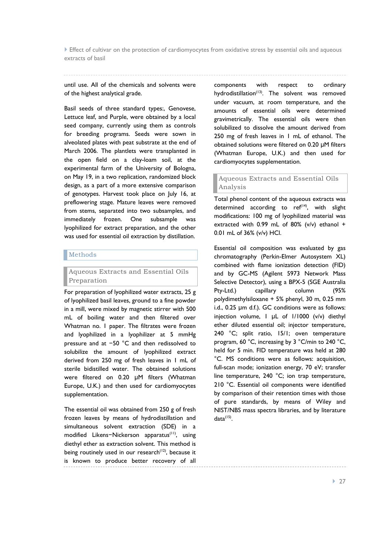` Effect of cultivar on the protection of cardiomyocytes from oxidative stress by essential oils and aqueous extracts of basil

until use. All of the chemicals and solvents were of the highest analytical grade.

Basil seeds of three standard types:, Genovese, Lettuce leaf, and Purple, were obtained by a local seed company, currently using them as controls for breeding programs. Seeds were sown in alveolated plates with peat substrate at the end of March 2006. The plantlets were transplanted in the open field on a clay-loam soil, at the experimental farm of the University of Bologna, on May 19, in a two replication, randomized block design, as a part of a more extensive comparison of genotypes. Harvest took place on July 16, at preflowering stage. Mature leaves were removed from stems, separated into two subsamples, and immediately frozen. One subsample was lyophilized for extract preparation, and the other was used for essential oil extraction by distillation.

#### Methods

Aqueous Extracts and Essential Oils Preparation

For preparation of lyophilized water extracts, 25 g of lyophilized basil leaves, ground to a fine powder in a mill, were mixed by magnetic stirrer with 500 mL of boiling water and then filtered over Whatman no. 1 paper. The filtrates were frozen and lyophilized in a lyophilizer at 5 mmHg pressure and at −50 °C and then redissolved to solubilize the amount of lyophilized extract derived from 250 mg of fresh leaves in 1 mL of sterile bidistilled water. The obtained solutions were filtered on 0.20 μM filters (Whatman Europe, U.K.) and then used for cardiomyocytes supplementation.

The essential oil was obtained from 250 g of fresh frozen leaves by means of hydrodistillation and simultaneous solvent extraction (SDE) in a modified Likens−Nickerson apparatus(11), using diethyl ether as extraction solvent. This method is being routinely used in our research<sup> $(12)$ </sup>, because it is known to produce better recovery of all

components with respect to ordinary hydrodistillation $^{(13)}$ . The solvent was removed under vacuum, at room temperature, and the amounts of essential oils were determined gravimetrically. The essential oils were then solubilized to dissolve the amount derived from 250 mg of fresh leaves in 1 mL of ethanol. The obtained solutions were filtered on 0.20 μM filters (Whatman Europe, U.K.) and then used for cardiomyocytes supplementation.

Aqueous Extracts and Essential Oils Analysis

Total phenol content of the aqueous extracts was determined according to  $ref^{(14)}$ , with slight modifications: 100 mg of lyophilized material was extracted with 0.99 mL of 80% (v/v) ethanol + 0.01 mL of 36% (v/v) HCl.

Essential oil composition was evaluated by gas chromatography (Perkin-Elmer Autosystem XL) combined with flame ionization detection (FID) and by GC-MS (Agilent 5973 Network Mass Selective Detector), using a BPX-5 (SGE Australia Pty-Ltd.) capillary column (95% polydimethylsiloxane + 5% phenyl, 30 m, 0.25 mm i.d., 0.25 μm d.f.). GC conditions were as follows: injection volume, 1 μL of 1/1000 (v/v) diethyl ether diluted essential oil; injector temperature, 240 °C; split ratio, 15/1; oven temperature program, 60 °C, increasing by 3 °C/min to 240 °C, held for 5 min. FID temperature was held at 280 °C. MS conditions were as follows: acquisition, full-scan mode; ionization energy, 70 eV; transfer line temperature, 240 °C; ion trap temperature, 210 °C. Essential oil components were identified by comparison of their retention times with those of pure standards, by means of Wiley and NIST/NBS mass spectra libraries, and by literature  $data$ <sup>(15)</sup>.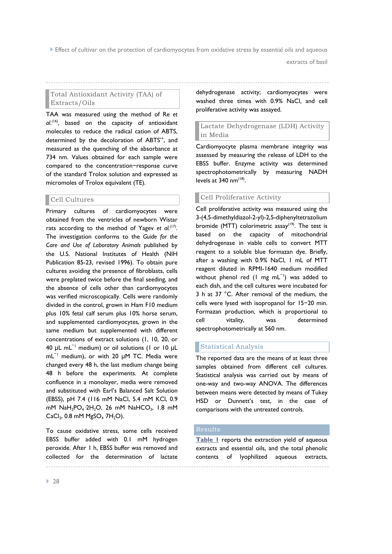` Effect of cultivar on the protection of cardiomyocytes from oxidative stress by essential oils and aqueous

extracts of basil

# Total Antioxidant Activity (TAA) of Extracts/Oils

TAA was measured using the method of Re *et al*. (16), based on the capacity of antioxidant molecules to reduce the radical cation of ABTS, determined by the decoloration of ABTS<sup>+</sup>, and measured as the quenching of the absorbance at 734 nm. Values obtained for each sample were compared to the concentration−response curve of the standard Trolox solution and expressed as micromoles of Trolox equivalent (TE).

# Cell Cultures

Primary cultures of cardiomyocytes were obtained from the ventricles of newborn Wistar rats according to the method of Yagev *et al.*<sup>(17)</sup>. The investigation conforms to the *Guide for the Care and Use of Laboratory Animals* published by the U.S. National Institutes of Health (NIH Publication 85-23, revised 1996). To obtain pure cultures avoiding the presence of fibroblasts, cells were preplated twice before the final seeding, and the absence of cells other than cardiomyocytes was verified microscopically. Cells were randomly divided in the control, grown in Ham F10 medium plus 10% fetal calf serum plus 10% horse serum, and supplemented cardiomyocytes, grown in the same medium but supplemented with different concentrations of extract solutions (1, 10, 20, or 40 μL mL<sup>-1</sup> medium) or oil solutions (1 or 10 μL mL<sup>-1</sup> medium), or with 20 μM TC. Media were changed every 48 h, the last medium change being 48 h before the experiments. At complete confluence in a monolayer, media were removed and substituted with Earl's Balanced Salt Solution (EBSS), pH 7.4 (116 mM NaCl, 5.4 mM KCl, 0.9 mM NaH<sub>2</sub>PO<sub>4</sub> 2H<sub>2</sub>O, 26 mM NaHCO<sub>3</sub>, 1.8 mM CaCl<sub>2</sub>, 0.8 mM MgSO<sub>4</sub> ·7H<sub>2</sub>O).

To cause oxidative stress, some cells received EBSS buffer added with 0.1 mM hydrogen peroxide. After 1 h, EBSS buffer was removed and collected for the determination of lactate dehydrogenase activity; cardiomyocytes were washed three times with 0.9% NaCl, and cell proliferative activity was assayed.

# Lactate Dehydrogenase (LDH) Activity in Media

Cardiomyocyte plasma membrane integrity was assessed by measuring the release of LDH to the EBSS buffer. Enzyme activity was determined spectrophotometrically by measuring NADH levels at 340 nm $^{(18)}$ .

# Cell Proliferative Activity

Cell proliferative activity was measured using the 3-(4,5-dimethyldiazol-2-yl)-2,5-diphenyltetrazolium bromide (MTT) colorimetric assay<sup>(19)</sup>. The test is based on the capacity of mitochondrial dehydrogenase in viable cells to convert MTT reagent to a soluble blue formazan dye. Briefly, after a washing with 0.9% NaCl, 1 mL of MTT reagent diluted in RPMI-1640 medium modified without phenol red (1 mg mL<sup>-1</sup>) was added to each dish, and the cell cultures were incubated for 3 h at 37 °C. After removal of the medium, the cells were lysed with isopropanol for 15−20 min. Formazan production, which is proportional to cell vitality, was determined spectrophotometrically at 560 nm.

# Statistical Analysis

The reported data are the means of at least three samples obtained from different cell cultures. Statistical analysis was carried out by means of one-way and two-way ANOVA. The differences between means were detected by means of Tukey HSD or Dunnett's test, in the case of comparisons with the untreated controls.

#### Results

Table 1 reports the extraction yield of aqueous extracts and essential oils, and the total phenolic contents of lyophilized aqueous extracts,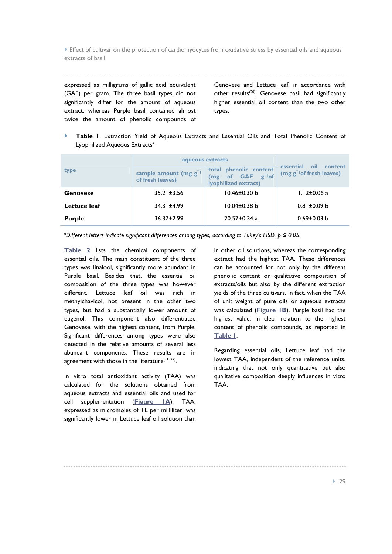` Effect of cultivar on the protection of cardiomyocytes from oxidative stress by essential oils and aqueous extracts of basil

expressed as milligrams of gallic acid equivalent (GAE) per gram. The three basil types did not significantly differ for the amount of aqueous extract, whereas Purple basil contained almost twice the amount of phenolic compounds of

Genovese and Lettuce leaf, in accordance with other results<sup>(20)</sup>. Genovese basil had significantly higher essential oil content than the two other types.

` **Table 1**. Extraction Yield of Aqueous Extracts and Essential Oils and Total Phenolic Content of Lyophilized Aqueous Extracts<sup>a</sup>

| type          | aqueous extracts                                      |                                                                                        |                                                                     |
|---------------|-------------------------------------------------------|----------------------------------------------------------------------------------------|---------------------------------------------------------------------|
|               | sample amount (mg g <sup>-1</sup><br>of fresh leaves) | phenolic content<br>total<br>of GAE g <sup>-1</sup> of<br>(mq)<br>lyophilized extract) | oil<br>essential<br>content<br>(mg g <sup>-1</sup> of fresh leaves) |
| Genovese      | $35.21 \pm 3.56$                                      | $10.46 \pm 0.30$ b                                                                     | $1.12 \pm 0.06$ a                                                   |
| Lettuce leaf  | $34.31 \pm 4.99$                                      | $10.04 \pm 0.38$ b                                                                     | $0.81 \pm 0.09$ b                                                   |
| <b>Purple</b> | $36.37 \pm 2.99$                                      | $20.57 \pm 0.34$ a                                                                     | $0.69 \pm 0.03$ b                                                   |

*a Different letters indicate significant differences among types, according to Tukey's HSD, p ≤ 0.05.* 

**Table 2** lists the chemical components of essential oils. The main constituent of the three types was linalool, significantly more abundant in Purple basil. Besides that, the essential oil composition of the three types was however different. Lettuce leaf oil was rich in methylchavicol, not present in the other two types, but had a substantially lower amount of eugenol. This component also differentiated Genovese, with the highest content, from Purple. Significant differences among types were also detected in the relative amounts of several less abundant components. These results are in agreement with those in the literature $(21, 22)$ .

In vitro total antioxidant activity (TAA) was calculated for the solutions obtained from aqueous extracts and essential oils and used for cell supplementation (**Figure 1A**). TAA, expressed as micromoles of TE per milliliter, was significantly lower in Lettuce leaf oil solution than

in other oil solutions, whereas the corresponding extract had the highest TAA. These differences can be accounted for not only by the different phenolic content or qualitative composition of extracts/oils but also by the different extraction yields of the three cultivars. In fact, when the TAA of unit weight of pure oils or aqueous extracts was calculated (**Figure 1B**), Purple basil had the highest value, in clear relation to the highest content of phenolic compounds, as reported in **Table 1**.

Regarding essential oils, Lettuce leaf had the lowest TAA, independent of the reference units, indicating that not only quantitative but also qualitative composition deeply influences in vitro TAA.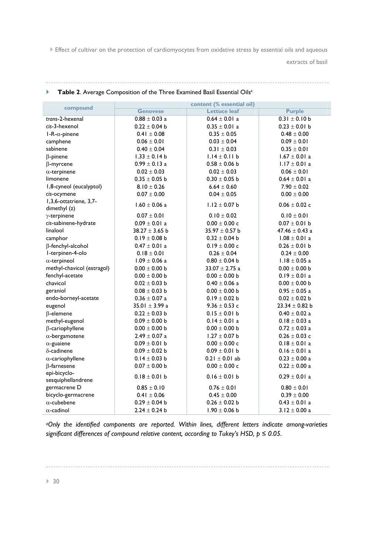$\blacktriangleright$  Effect of cultivar on the protection of cardiomyocytes from oxidative stress by essential oils and aqueous

extracts of basil

---------------------------------

# **Table 2**. Average Composition of the Three Examined Basil Essential Oils<sup>a</sup>

|                                        | content (% essential oil) |                     |                    |
|----------------------------------------|---------------------------|---------------------|--------------------|
| compound                               | <b>Genovese</b>           | <b>Lettuce leaf</b> | <b>Purple</b>      |
| trans-2-hexenal                        | $0.88 \pm 0.03$ a         | $0.64 \pm 0.01$ a   | $0.31 \pm 0.10$ b  |
| cis-3-hexenol                          | $0.22 \pm 0.04$ b         | $0.35 \pm 0.01$ a   | $0.23 \pm 0.01$ b  |
| $I-R-\alpha$ -pinene                   | $0.41 \pm 0.08$           | $0.35 \pm 0.05$     | $0.48 \pm 0.00$    |
| camphene                               | $0.06 \pm 0.01$           | $0.03 \pm 0.04$     | $0.09 \pm 0.01$    |
| sabinene                               | $0.40 \pm 0.04$           | $0.31 \pm 0.03$     | $0.35 \pm 0.01$    |
| $\beta$ -pinene                        | $1.33 \pm 0.14 b$         | $1.14 \pm 0.11 b$   | $1.67 \pm 0.01$ a  |
| $\beta$ -myrcene                       | $0.99 \pm 0.13$ a         | $0.58 \pm 0.06$ b   | $1.17 \pm 0.01$ a  |
| $\alpha$ -terpinene                    | $0.02 \pm 0.03$           | $0.02 \pm 0.03$     | $0.06 \pm 0.01$    |
| limonene                               | $0.35 \pm 0.05$ b         | $0.30 \pm 0.05$ b   | $0.64 \pm 0.01$ a  |
| I,8-cyneol (eucalyptol)                | $8.10 \pm 0.26$           | $6.64 \pm 0.60$     | $7.90 \pm 0.02$    |
| cis-ocymene                            | $0.07 \pm 0.00$           | $0.04 \pm 0.05$     | $0.00 \pm 0.00$    |
| 1,3,6-ottatriene, 3,7-<br>dimethyl (z) | $1.60 \pm 0.06$ a         | $1.12 \pm 0.07$ b   | $0.06 \pm 0.02$ c  |
| $\gamma$ -terpinene                    | $0.07 \pm 0.01$           | $0.10 \pm 0.02$     | $0.10 \pm 0.01$    |
| cis-sabinene-hydrate                   | $0.09 \pm 0.01$ a         | $0.00 \pm 0.00$ c   | $0.07 \pm 0.01$ b  |
| linalool                               | $38.27 \pm 3.65$ b        | $35.97 \pm 0.57$ b  | 47.46 $\pm$ 0.43 a |
| camphor                                | $0.19 \pm 0.08$ b         | $0.32 \pm 0.04$ b   | $1.08 \pm 0.01$ a  |
| β-fenchyl-alcohol                      | $0.47 \pm 0.01$ a         | $0.19 \pm 0.00$ c   | $0.26 \pm 0.01$ b  |
| I-terpinen-4-olo                       | $0.18 \pm 0.01$           | $0.26 \pm 0.04$     | $0.24 \pm 0.00$    |
| $\alpha$ -terpineol                    | $1.09 \pm 0.06$ a         | $0.80 \pm 0.04$ b   | $1.18 \pm 0.05$ a  |
| methyl-chavicol (estragol)             | $0.00 \pm 0.00$ b         | 33.07 $\pm$ 2.75 a  | $0.00 \pm 0.00$ b  |
| fenchyl-acetate                        | $0.00 \pm 0.00$ b         | $0.00 \pm 0.00$ b   | $0.19 \pm 0.01$ a  |
| chavicol                               | $0.02 \pm 0.03$ b         | $0.40 \pm 0.06$ a   | $0.00 \pm 0.00$ b  |
| geraniol                               | $0.08 \pm 0.03$ b         | $0.00 \pm 0.00$ b   | $0.95 \pm 0.05$ a  |
| endo-borneyl-acetate                   | $0.36 \pm 0.07$ a         | $0.19 \pm 0.02$ b   | $0.02 \pm 0.02$ b  |
| eugenol                                | 35.01 $\pm$ 3.99 a        | $9.36 \pm 0.53$ c   | $23.34 \pm 0.82$ b |
| $\beta$ -elemene                       | $0.22 \pm 0.03$ b         | $0.15 \pm 0.01$ b   | $0.40 \pm 0.02$ a  |
| methyl-eugenol                         | $0.09 \pm 0.00$ b         | $0.14 \pm 0.01$ a   | $0.18 \pm 0.03$ a  |
| $\beta$ -cariophyllene                 | $0.00 \pm 0.00$ b         | $0.00 \pm 0.00$ b   | $0.72 \pm 0.03$ a  |
| $\alpha$ -bergamotene                  | $2.49 \pm 0.07$ a         | $1.27 \pm 0.07$ b   | $0.26 \pm 0.03$ c  |
| $\alpha$ -guaiene                      | $0.09 \pm 0.01$ b         | $0.00 \pm 0.00$ c   | $0.18 \pm 0.01$ a  |
| $\delta$ -cadinene                     | $0.09 \pm 0.02$ b         | $0.09 \pm 0.01$ b   | $0.16 \pm 0.01$ a  |
| $\alpha$ -cariophyllene                | $0.14 \pm 0.03$ b         | $0.21 \pm 0.01$ ab  | $0.23 \pm 0.00$ a  |
| $\beta$ -farnesene                     | $0.07 \pm 0.00$ b         | $0.00 \pm 0.00$ c   | $0.22 \pm 0.00$ a  |
| epi-bicyclo-                           | $0.18 \pm 0.01$ b         | $0.16 \pm 0.01$ b   | $0.29 \pm 0.01$ a  |
| sesquiphellandrene                     |                           |                     |                    |
| germacrene D                           | $0.85 \pm 0.10$           | $0.76 \pm 0.01$     | $0.80 \pm 0.01$    |
| bicyclo-germacrene                     | $0.41 \pm 0.06$           | $0.45 \pm 0.00$     | $0.39 \pm 0.00$    |
| $\alpha$ -cubebene                     | $0.29 \pm 0.04$ b         | $0.26 \pm 0.02$ b   | $0.43 \pm 0.01$ a  |
| $\alpha$ -cadinol                      | $2.24 \pm 0.24$ b         | $1.90 \pm 0.06$ b   | $3.12 \pm 0.00$ a  |

*aOnly the identified components are reported. Within lines, different letters indicate among-varieties significant differences of compound relative content, according to Tukey's HSD, p ≤ 0.05.* 

 $\blacktriangleright$  30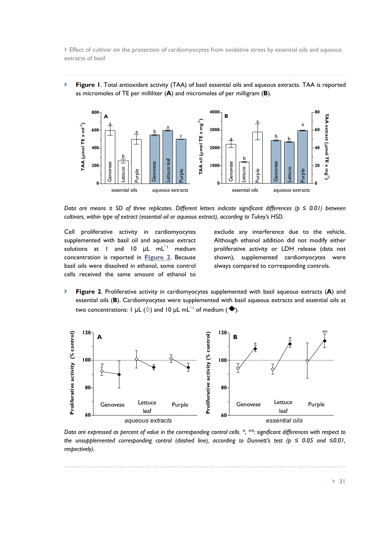` Effect of cultivar on the protection of cardiomyocytes from oxidative stress by essential oils and aqueous extracts of basil

` **Figure 1**. Total antioxidant activity (TAA) of basil essential oils and aqueous extracts. TAA is reported as micromoles of TE per milliliter (**A**) and micromoles of per milligram (**B**).



*Data are means*  $\pm$  SD of three replicates. Different letters indicate significant differences ( $p \le 0.01$ ) between *cultivars, within type of extract (essential oil or aqueous extract), according to Tukey's HSD.* 

Cell proliferative activity in cardiomyocytes supplemented with basil oil and aqueous extract solutions at 1 and 10 μL mL<sup>-1</sup> medium concentration is reported in **Figure 2**. Because basil oils were dissolved in ethanol, some control cells received the same amount of ethanol to

exclude any interference due to the vehicle. Although ethanol addition did not modify either proliferative activity or LDH release (data not shown), supplemented cardiomyocytes were always compared to corresponding controls.

**Figure 2.** Proliferative activity in cardiomyocytes supplemented with basil aqueous extracts (A) and essential oils (**B**). Cardiomyocytes were supplemented with basil aqueous extracts and essential oils at two concentrations: 1 µL ( $\diamond$ ) and 10 µL mL<sup>-1</sup> of medium (  $\blacklozenge$ ).



*Data are expressed as percent of value in the corresponding control cells. \*, \*\*: significant differences with respect to the unsupplemented corresponding control (dashed line), according to Dunnett's test (p ≤ 0.05 and ≤0.01, respectively).*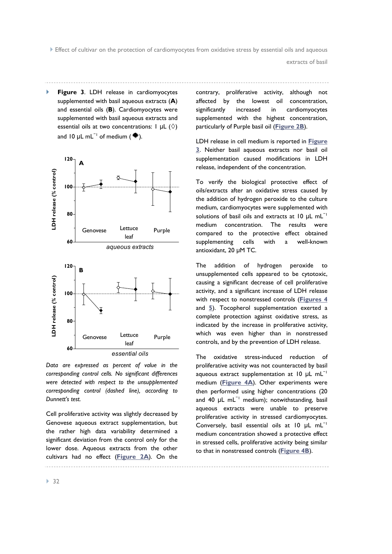` Effect of cultivar on the protection of cardiomyocytes from oxidative stress by essential oils and aqueous

extracts of basil

Figure 3. LDH release in cardiomyocytes supplemented with basil aqueous extracts (**A**) and essential oils (**B**). Cardiomyocytes were supplemented with basil aqueous extracts and essential oils at two concentrations:  $\mathsf{I} \mathsf{uL}(\Diamond)$ and 10  $\mu$ L mL $^{-1}$  of medium ( $\clubsuit$ ).



*Data are expressed as percent of value in the corresponding control cells. No significant differences were detected with respect to the unsupplemented corresponding control (dashed line), according to Dunnett's test.* 

Cell proliferative activity was slightly decreased by Genovese aqueous extract supplementation, but the rather high data variability determined a significant deviation from the control only for the lower dose. Aqueous extracts from the other cultivars had no effect (**Figure 2A**). On the

contrary, proliferative activity, although not affected by the lowest oil concentration, significantly increased in cardiomyocytes supplemented with the highest concentration, particularly of Purple basil oil (**Figure 2B**).

LDH release in cell medium is reported in **Figure 3**. Neither basil aqueous extracts nor basil oil supplementation caused modifications in LDH release, independent of the concentration.

To verify the biological protective effect of oils/extracts after an oxidative stress caused by the addition of hydrogen peroxide to the culture medium, cardiomyocytes were supplemented with solutions of basil oils and extracts at 10 µL mL<sup>-1</sup> medium concentration. The results were compared to the protective effect obtained supplementing cells with a well-known antioxidant, 20 μM TC.

The addition of hydrogen peroxide to unsupplemented cells appeared to be cytotoxic, causing a significant decrease of cell proliferative activity, and a significant increase of LDH release with respect to nonstressed controls (**Figures 4** and **5**). Tocopherol supplementation exerted a complete protection against oxidative stress, as indicated by the increase in proliferative activity, which was even higher than in nonstressed controls, and by the prevention of LDH release.

The oxidative stress-induced reduction of proliferative activity was not counteracted by basil aqueous extract supplementation at 10 μL mL<sup>-1</sup> medium (**Figure 4A**). Other experiments were then performed using higher concentrations (20 and 40 μL mL<sup>-1</sup> medium); notwithstanding, basil aqueous extracts were unable to preserve proliferative activity in stressed cardiomyocytes. Conversely, basil essential oils at 10 μL mL<sup>-1</sup> medium concentration showed a protective effect in stressed cells, proliferative activity being similar to that in nonstressed controls (**Figure 4B**).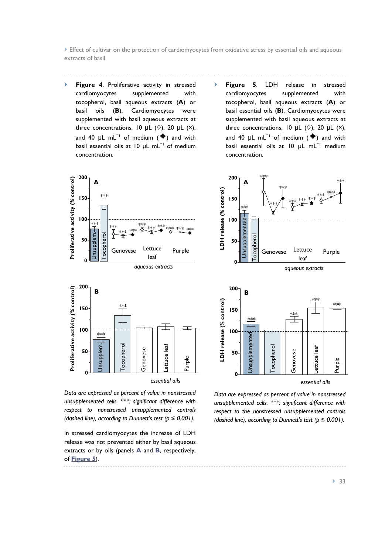` Effect of cultivar on the protection of cardiomyocytes from oxidative stress by essential oils and aqueous extracts of basil

- **Figure 4.** Proliferative activity in stressed cardiomyocytes supplemented with tocopherol, basil aqueous extracts (**A**) or basil oils (**B**). Cardiomyocytes were supplemented with basil aqueous extracts at three concentrations, 10 μL ( $\diamond$ ), 20 μL ( $\times$ ), and 40  $\mu$ L mL<sup>-1</sup> of medium (<sup> $\triangleleft$ </sup>) and with basil essential oils at 10 μL mL<sup>-1</sup> of medium concentration.
	- **200** Proliferative activity (% control) **Proliferative activity (% control) A 150** \*\*\* **100** \*\*\* \*\*\* \*\*\* \*\*\* \*\*\* \*\*\* \*\*\* \*\*\*<br><del>J \*\*\* \*\*\* Q +\*</del> → Q <del>x</del> Unsupplem. Tocopherol ero **50** Genovese Lettuce Purple leaf **0** *aqueous extracts*



*Data are expressed as percent of value in nonstressed unsupplemented cells. \*\*\*: significant difference with respect to nonstressed unsupplemented controls (dashed line), according to Dunnett's test*  $(p \le 0.001)$ *.* 

In stressed cardiomyocytes the increase of LDH release was not prevented either by basil aqueous extracts or by oils (panels **A** and **B**, respectively, of **Figure 5**).

Figure 5. LDH release in stressed cardiomyocytes supplemented with tocopherol, basil aqueous extracts (**A**) or basil essential oils (**B**). Cardiomyocytes were supplemented with basil aqueous extracts at three concentrations, 10 μL ( $\diamond$ ), 20 μL ( $\times$ ), and 40  $\mu$ L mL<sup>-1</sup> of medium (<sup> $\triangleleft$ </sup>) and with basil essential oils at 10 μL mL<sup>-1</sup> medium concentration.



*Data are expressed as percent of value in nonstressed unsupplemented cells. \*\*\*: significant difference with respect to the nonstressed unsupplemented controls (dashed line), according to Dunnett's test (p ≤ 0.001).*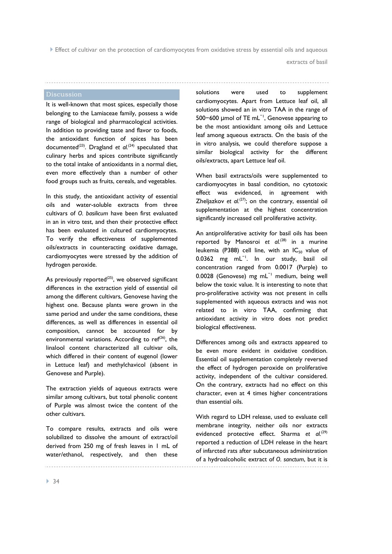` Effect of cultivar on the protection of cardiomyocytes from oxidative stress by essential oils and aqueous

extracts of basil

#### Discussion

It is well-known that most spices, especially those belonging to the Lamiaceae family, possess a wide range of biological and pharmacological activities. In addition to providing taste and flavor to foods, the antioxidant function of spices has been documented<sup>(23)</sup>. Dragland *et al.*<sup>(24)</sup> speculated that culinary herbs and spices contribute significantly to the total intake of antioxidants in a normal diet, even more effectively than a number of other food groups such as fruits, cereals, and vegetables.

In this study, the antioxidant activity of essential oils and water-soluble extracts from three cultivars of *O. basilicum* have been first evaluated in an in vitro test, and then their protective effect has been evaluated in cultured cardiomyocytes. To verify the effectiveness of supplemented oils/extracts in counteracting oxidative damage, cardiomyocytes were stressed by the addition of hydrogen peroxide.

As previously reported<sup>(25)</sup>, we observed significant differences in the extraction yield of essential oil among the different cultivars, Genovese having the highest one. Because plants were grown in the same period and under the same conditions, these differences, as well as differences in essential oil composition, cannot be accounted for by environmental variations. According to ref<sup> $(26)$ </sup>, the linalool content characterized all cultivar oils, which differed in their content of eugenol (lower in Lettuce leaf) and methylchavicol (absent in Genovese and Purple).

The extraction yields of aqueous extracts were similar among cultivars, but total phenolic content of Purple was almost twice the content of the other cultivars.

To compare results, extracts and oils were solubilized to dissolve the amount of extract/oil derived from 250 mg of fresh leaves in 1 mL of water/ethanol, respectively, and then these

solutions were used to supplement cardiomyocytes. Apart from Lettuce leaf oil, all solutions showed an in vitro TAA in the range of 500−600 μmol of TE mL<sup>−</sup><sup>1</sup> , Genovese appearing to be the most antioxidant among oils and Lettuce leaf among aqueous extracts. On the basis of the in vitro analysis, we could therefore suppose a similar biological activity for the different oils/extracts, apart Lettuce leaf oil.

When basil extracts/oils were supplemented to cardiomyocytes in basal condition, no cytotoxic effect was evidenced, in agreement with Zheljazkov *et*  $al^{(27)}$ ; on the contrary, essential oil supplementation at the highest concentration significantly increased cell proliferative activity.

An antiproliferative activity for basil oils has been reported by Manosroi *et al.*(28) in a murine leukemia (P388) cell line, with an  $IC_{50}$  value of 0.0362 mg mL<sup>-1</sup>. In our study, basil oil concentration ranged from 0.0017 (Purple) to 0.0028 (Genovese) mg mL<sup>-1</sup> medium, being well below the toxic value. It is interesting to note that pro-proliferative activity was not present in cells supplemented with aqueous extracts and was not related to in vitro TAA, confirming that antioxidant activity in vitro does not predict biological effectiveness.

Differences among oils and extracts appeared to be even more evident in oxidative condition. Essential oil supplementation completely reversed the effect of hydrogen peroxide on proliferative activity, independent of the cultivar considered. On the contrary, extracts had no effect on this character, even at 4 times higher concentrations than essential oils.

With regard to LDH release, used to evaluate cell membrane integrity, neither oils nor extracts evidenced protective effect. Sharma et al.<sup>(29)</sup> reported a reduction of LDH release in the heart of infarcted rats after subcutaneous administration of a hydroalcoholic extract of *O. sanctum*, but it is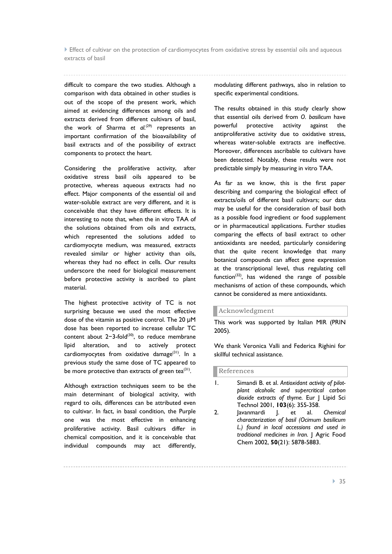` Effect of cultivar on the protection of cardiomyocytes from oxidative stress by essential oils and aqueous extracts of basil

difficult to compare the two studies. Although a comparison with data obtained in other studies is out of the scope of the present work, which aimed at evidencing differences among oils and extracts derived from different cultivars of basil, the work of Sharma et al.<sup>(29)</sup> represents an important confirmation of the bioavailability of basil extracts and of the possibility of extract components to protect the heart.

Considering the proliferative activity, after oxidative stress basil oils appeared to be protective, whereas aqueous extracts had no effect. Major components of the essential oil and water-soluble extract are very different, and it is conceivable that they have different effects. It is interesting to note that, when the in vitro TAA of the solutions obtained from oils and extracts, which represented the solutions added to cardiomyocyte medium, was measured, extracts revealed similar or higher activity than oils, whereas they had no effect in cells. Our results underscore the need for biological measurement before protective activity is ascribed to plant material.

The highest protective activity of TC is not surprising because we used the most effective dose of the vitamin as positive control. The 20 μM dose has been reported to increase cellular TC content about 2-3-fold<sup>(30)</sup>, to reduce membrane lipid alteration, and to actively protect cardiomyocytes from oxidative damage<sup>(31)</sup>. In a previous study the same dose of TC appeared to be more protective than extracts of green tea $(31)$ .

Although extraction techniques seem to be the main determinant of biological activity, with regard to oils, differences can be attributed even to cultivar. In fact, in basal condition, the Purple one was the most effective in enhancing proliferative activity. Basil cultivars differ in chemical composition, and it is conceivable that individual compounds may act differently,

modulating different pathways, also in relation to specific experimental conditions.

The results obtained in this study clearly show that essential oils derived from *O. basilicum* have powerful protective activity against the antiproliferative activity due to oxidative stress, whereas water-soluble extracts are ineffective. Moreover, differences ascribable to cultivars have been detected. Notably, these results were not predictable simply by measuring in vitro TAA.

As far as we know, this is the first paper describing and comparing the biological effect of extracts/oils of different basil cultivars; our data may be useful for the consideration of basil both as a possible food ingredient or food supplement or in pharmaceutical applications. Further studies comparing the effects of basil extract to other antioxidants are needed, particularly considering that the quite recent knowledge that many botanical compounds can affect gene expression at the transcriptional level, thus regulating cell function<sup>(32)</sup>, has widened the range of possible mechanisms of action of these compounds, which cannot be considered as mere antioxidants.

## Acknowledgment

This work was supported by Italian MIR (PRIN 2005).

We thank Veronica Valli and Federica Righini for skillful technical assistance.

### References

- 1. Simandi B. et al. *Antioxidant activity of pilotplant alcoholic and supercritical carbon dioxide extracts of thyme.* Eur J Lipid Sci Technol 2001, **103**(6): 355-358.
- 2. Javanmardi J. et al. *Chemical characterization of basil (Ocimum basilicum L.) found in local accessions and used in traditional medicines in Iran.* J Agric Food Chem 2002, **50**(21): 5878-5883.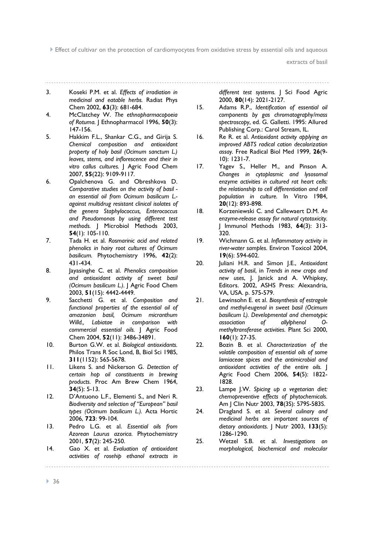` Effect of cultivar on the protection of cardiomyocytes from oxidative stress by essential oils and aqueous

extracts of basil

- 3. Koseki P.M. et al. *Effects of irradiation in medicinal and eatable herbs.* Radiat Phys Chem 2002, **63**(3): 681-684.
- 4. McClatchey W. *The ethnopharmacopoeia of Rotuma.* J Ethnopharmacol 1996, **50**(3): 147-156.
- 5. Hakkim F.L., Shankar C.G., and Girija S. *Chemical composition and antioxidant property of holy basil (Ocimum sanctum L.) leaves, stems, and inflorescence and their in vitro callus cultures.* J Agric Food Chem 2007, **55**(22): 9109-9117.
- 6. Opalchenova G. and Obreshkova D. *Comparative studies on the activity of basil an essential oil from Ocimum basilicum L. against multidrug resistant clinical isolates of the genera Staphylococcus, Enterococcus and Pseudomonas by using different test methods.* J Microbiol Methods 2003, **54**(1): 105-110.
- 7. Tada H. et al. *Rosmarinic acid and related phenolics in hairy root cultures of Ocimum basilicum.* Phytochemistry 1996, **42**(2): 431-434.
- 8. Jayasinghe C. et al. *Phenolics composition and antioxidant activity of sweet basil (Ocimum basilicum L.).* J Agric Food Chem 2003, **51**(15): 4442-4449.
- 9. Sacchetti G. et al. *Composition and functional properties of the essential oil of amazonian basil, Ocimum micranthum Willd., Labiatae in comparison with commercial essential oils.* J Agric Food Chem 2004, **52**(11): 3486-34891.
- 10. Burton G.W. et al. *Biological antioxidants.* Philos Trans R Soc Lond, B, Biol Sci 1985, **311**(1152): 565-5678.
- 11. Likens S. and Nickerson G. *Detection of certain hop oil constituents in brewing products.* Proc Am Brew Chem 1964, **34**(5): 5-13.
- 12. D'Antuono L.F., Elementi S., and Neri R. *Biodiversity and selection of "European" basil types (Ocimum basilicum L.).* Acta Hortic 2006, **723**: 99-104.
- 13. Pedro L.G. et al. *Essential oils from Azorean Laurus azorica.* Phytochemistry 2001, **57**(2): 245-250.
- 14. Gao X. et al. *Evaluation of antioxidant activities of rosehip ethanol extracts in*

*different test systems.* J Sci Food Agric 2000, **80**(14): 2021-2127.

- 15. Adams R.P., *Identification of essential oil components by gas chromatography/mass spectroscopy*, ed. G. Galletti. 1995: Allured Publishing Corp.: Carol Stream, IL.
- 16. Re R. et al. *Antioxidant activity applying an improved ABTS radical cation decolorization assay.* Free Radical Biol Med 1999, **26**(9- 10): 1231-7.
- 17. Yagev S., Heller M., and Pinson A. *Changes in cytoplasmic and lysosomal enzyme activities in cultured rat heart cells: the relationship to cell differentiation and cell population in culture.* In Vitro 1984, **20**(12): 893-898.
- 18. Korzeniewski C. and Callewaert D.M. *An enzyme-release assay for natural cytotoxicity.* J Immunol Methods 1983, **64**(3): 313- 320.
- 19. Wichmann G. et al. *Inflammatory activity in river-water samples.* Environ Toxicol 2004, **19**(6): 594-602.
- 20. Juliani H.R. and Simon J.E., *Antioxidant activity of basil*, in *Trends in new crops and new uses*, J. Janick and A. Whipkey, Editors. 2002, ASHS Press: Alexandria, VA, USA. p. 575-579.
- 21. Lewinsohn E. et al. *Biosynthesis of estragole and methyl-eugenol in sweet basil (Ocimum basilicum L). Developmental and chemotypic association of allylphenol Omethyltransferase activities.* Plant Sci 2000, **160**(1): 27-35.
- 22. Bozin B. et al. *Characterization of the volatile composition of essential oils of some lamiaceae spices and the antimicrobial and antioxidant activities of the entire oils.* J Agric Food Chem 2006, **54**(5): 1822- 1828.
- 23. Lampe J.W. *Spicing up a vegetarian diet: chemopreventive effects of phytochemicals.* Am J Clin Nutr 2003, **78**(3S): 579S-583S.
- 24. Dragland S. et al. *Several culinary and medicinal herbs are important sources of dietary antioxidants.* J Nutr 2003, **133**(5): 1286-1290.
- 25. Wetzel S.B. et al. *Investigations on morphological, biochemical and molecular*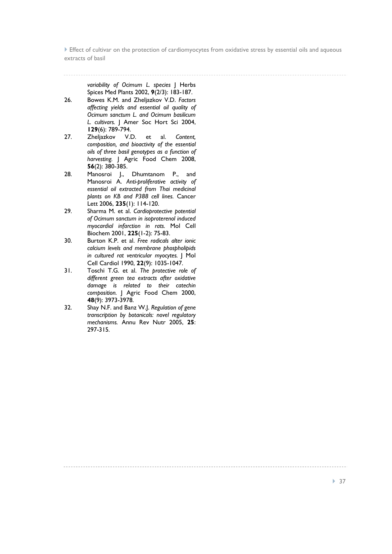` Effect of cultivar on the protection of cardiomyocytes from oxidative stress by essential oils and aqueous extracts of basil

*variability of Ocimum L. species* J Herbs Spices Med Plants 2002, **9**(2/3): 183-187.

- 26. Bowes K.M. and Zheljazkov V.D. *Factors affecting yields and essential oil quality of Ocimum sanctum L. and Ocimum basilicum L. cultivars.* J Amer Soc Hort Sci 2004, **129**(6): 789-794.
- 27. Zheljazkov V.D. et al. *Content, composition, and bioactivity of the essential oils of three basil genotypes as a function of harvesting.* J Agric Food Chem 2008, **56**(2): 380-385.
- 28. Manosroi J., Dhumtanom P., and Manosroi A. *Anti-proliferative activity of essential oil extracted from Thai medicinal plants on KB and P388 cell lines.* Cancer Lett 2006, **235**(1): 114-120.
- 29. Sharma M. et al. *Cardioprotective potential of Ocimum sanctum in isoproterenol induced myocardial infarction in rats.* Mol Cell Biochem 2001, **225**(1-2): 75-83.
- 30. Burton K.P. et al. *Free radicals alter ionic calcium levels and membrane phospholipids in cultured rat ventricular myocytes.* J Mol Cell Cardiol 1990, **22**(9): 1035-1047.
- 31. Toschi T.G. et al. *The protective role of different green tea extracts after oxidative damage is related to their catechin composition.* J Agric Food Chem 2000, **48**(9): 3973-3978.
- 32. Shay N.F. and Banz W.J. *Regulation of gene transcription by botanicals: novel regulatory mechanisms.* Annu Rev Nutr 2005, **25**: 297-315.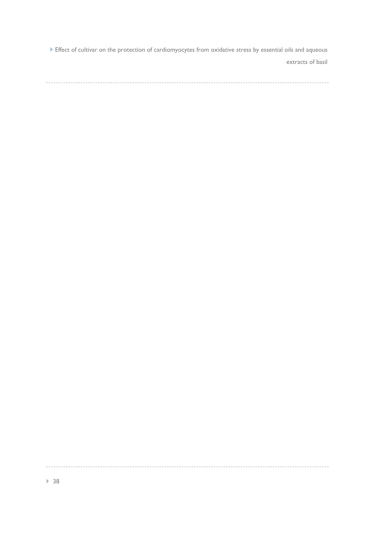` Effect of cultivar on the protection of cardiomyocytes from oxidative stress by essential oils and aqueous extracts of basil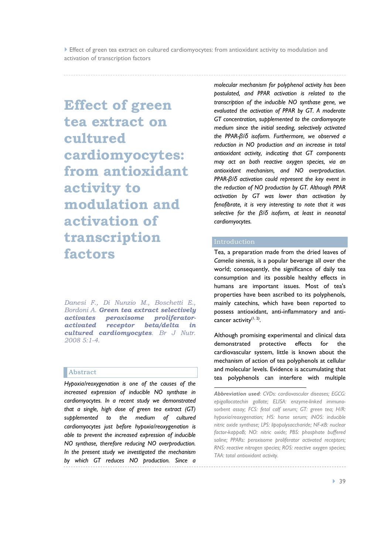` Effect of green tea extract on cultured cardiomyocytes: from antioxidant activity to modulation and activation of transcription factors

**Effect of green tea extract on cultured cardiomyocytes: from antioxidant activity to modulation and activation of transcription factors**

*Danesi F., Di Nunzio M., Boschetti E., Bordoni A. Green tea extract selectively activates peroxisome proliferatoractivated receptor beta/delta in cultured cardiomyocytes. Br J Nutr. 2008 5:1-4.* 

# Abstract

*Hypoxia/reoxygenation is one of the causes of the increased expression of inducible NO synthase in cardiomyocytes. In a recent study we demonstrated that a single, high dose of green tea extract (GT) supplemented to the medium of cultured cardiomyocytes just before hypoxia/reoxygenation is able to prevent the increased expression of inducible NO synthase, therefore reducing NO overproduction. In the present study we investigated the mechanism by which GT reduces NO production. Since a*  *molecular mechanism for polyphenol activity has been postulated, and PPAR activation is related to the transcription of the inducible NO synthase gene, we evaluated the activation of PPAR by GT. A moderate GT concentration, supplemented to the cardiomyocyte medium since the initial seeding, selectively activated the PPAR-β/δ isoform. Furthermore, we observed a reduction in NO production and an increase in total antioxidant activity, indicating that GT components may act on both reactive oxygen species, via an antioxidant mechanism, and NO overproduction. PPAR-β/δ activation could represent the key event in the reduction of NO production by GT. Although PPAR activation by GT was lower than activation by fenofibrate, it is very interesting to note that it was selective for the β/δ isoform, at least in neonatal*  cardiomyocytes.

#### Introduction

<u>.</u>

Tea, a preparation made from the dried leaves of *Camelia sinensis*, is a popular beverage all over the world; consequently, the significance of daily tea consumption and its possible healthy effects in humans are important issues. Most of tea's properties have been ascribed to its polyphenols, mainly catechins, which have been reported to possess antioxidant, anti-inflammatory and anticancer activity<sup>(1, 2)</sup>.

Although promising experimental and clinical data demonstrated protective effects for the cardiovascular system, little is known about the mechanism of action of tea polyphenols at cellular and molecular levels. Evidence is accumulating that tea polyphenols can interfere with multiple

*Abbreviation used: CVDs: cardiovascular diseases; EGCG: epigallocatechin gallate; ELISA: enzyme-linked immunosorbent assay; FCS: fetal calf serum; GT: green tea; H/R: hypoxia/reoxygenation; HS: horse serum; iNOS: inducible nitric oxide synthase; LPS: lipopolysaccharide; NF-κB: nuclear factor-kappaB; NO: nitric oxide; PBS: phosphate buffered saline; PPARs: peroxisome proliferator activated receptors; RNS: reactive nitrogen species; ROS: reactive oxygen species; TAA: total antioxidant activity.*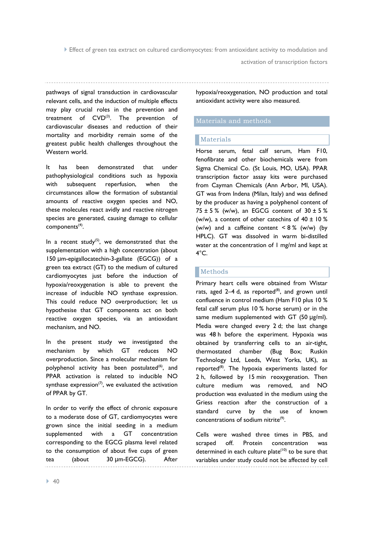` Effect of green tea extract on cultured cardiomyocytes: from antioxidant activity to modulation and

activation of transcription factors

pathways of signal transduction in cardiovascular relevant cells, and the induction of multiple effects may play crucial roles in the prevention and treatment of  $CVD^{(3)}$ . The prevention of cardiovascular diseases and reduction of their mortality and morbidity remain some of the greatest public health challenges throughout the Western world.

It has been demonstrated that under pathophysiological conditions such as hypoxia with subsequent reperfusion, when the circumstances allow the formation of substantial amounts of reactive oxygen species and NO, these molecules react avidly and reactive nitrogen species are generated, causing damage to cellular components<sup>(4)</sup>.

In a recent study<sup>(5)</sup>, we demonstrated that the supplementation with a high concentration (about 150 μm-epigallocatechin-3-gallate (EGCG)) of a green tea extract (GT) to the medium of cultured cardiomyocytes just before the induction of hypoxia/reoxygenation is able to prevent the increase of inducible NO synthase expression. This could reduce NO overproduction; let us hypothesise that GT components act on both reactive oxygen species, via an antioxidant mechanism, and NO.

In the present study we investigated the mechanism by which GT reduces NO overproduction. Since a molecular mechanism for polyphenol activity has been postulated<sup>(6)</sup>, and PPAR activation is related to inducible NO synthase expression $(7)$ , we evaluated the activation of PPAR by GT.

In order to verify the effect of chronic exposure to a moderate dose of GT, cardiomyocytes were grown since the initial seeding in a medium supplemented with a GT concentration corresponding to the EGCG plasma level related to the consumption of about five cups of green tea (about 30 μm-EGCG). After

hypoxia/reoxygenation, NO production and total antioxidant activity were also measured.

# Materials

Horse serum, fetal calf serum, Ham F10, fenofibrate and other biochemicals were from Sigma Chemical Co. (St Louis, MO, USA). PPAR transcription factor assay kits were purchased from Cayman Chemicals (Ann Arbor, MI, USA). GT was from Indena (Milan, Italy) and was defined by the producer as having a polyphenol content of 75  $\pm$  5 % (w/w), an EGCG content of 30  $\pm$  5 % (w/w), a content of other catechins of  $40 \pm 10$  % (w/w) and a caffeine content  $\leq 8\%$  (w/w) (by HPLC). GT was dissolved in warm bi-distilled water at the concentration of 1 mg/ml and kept at 4°C.

# Methods

Primary heart cells were obtained from Wistar rats, aged  $2-4$  d, as reported<sup>(8)</sup>, and grown until confluence in control medium (Ham F10 plus 10 % fetal calf serum plus 10 % horse serum) or in the same medium supplemented with GT (50 μg/ml). Media were changed every 2 d; the last change was 48 h before the experiment. Hypoxia was obtained by transferring cells to an air-tight, thermostated chamber (Bug Box; Ruskin Technology Ltd, Leeds, West Yorks, UK), as reported $^{(8)}$ . The hypoxia experiments lasted for 2 h, followed by 15 min reoxygenation. Then culture medium was removed, and NO production was evaluated in the medium using the Griess reaction after the construction of a standard curve by the use of known concentrations of sodium nitrite $(9)$ .

Cells were washed three times in PBS, and scraped off. Protein concentration was determined in each culture plate<sup>(10)</sup> to be sure that variables under study could not be affected by cell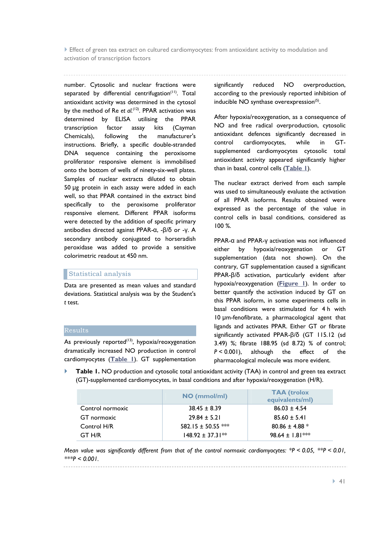` Effect of green tea extract on cultured cardiomyocytes: from antioxidant activity to modulation and activation of transcription factors

number. Cytosolic and nuclear fractions were separated by differential centrifugation<sup>(11)</sup>. Total antioxidant activity was determined in the cytosol by the method of Re *et al.*<sup>(12)</sup>. PPAR activation was determined by ELISA utilising the PPAR transcription factor assay kits (Cayman Chemicals), following the manufacturer's instructions. Briefly, a specific double-stranded DNA sequence containing the peroxisome proliferator responsive element is immobilised onto the bottom of wells of ninety-six-well plates. Samples of nuclear extracts diluted to obtain 50 μg protein in each assay were added in each well, so that PPAR contained in the extract bind specifically to the peroxisome proliferator responsive element. Different PPAR isoforms were detected by the addition of specific primary antibodies directed against PPAR-α, -β/δ or -γ. A secondary antibody conjugated to horseradish peroxidase was added to provide a sensitive colorimetric readout at 450 nm.

### Statistical analysis

Data are presented as mean values and standard deviations. Statistical analysis was by the Student's *t* test.

# Results

As previously reported $(13)$ , hypoxia/reoxygenation dramatically increased NO production in control cardiomyocytes (**Table 1**). GT supplementation significantly reduced NO overproduction, according to the previously reported inhibition of inducible  $NO$  synthase overexpression<sup>(5)</sup>.

After hypoxia/reoxygenation, as a consequence of NO and free radical overproduction, cytosolic antioxidant defences significantly decreased in control cardiomyocytes, while in GTsupplemented cardiomyocytes cytosolic total antioxidant activity appeared significantly higher than in basal, control cells (**Table 1**).

The nuclear extract derived from each sample was used to simultaneously evaluate the activation of all PPAR isoforms. Results obtained were expressed as the percentage of the value in control cells in basal conditions, considered as 100 %.

PPAR-α and PPAR-γ activation was not influenced either by hypoxia/reoxygenation or GT supplementation (data not shown). On the contrary, GT supplementation caused a significant PPAR-β/δ activation, particularly evident after hypoxia/reoxygenation (**Figure 1**). In order to better quantify the activation induced by GT on this PPAR isoform, in some experiments cells in basal conditions were stimulated for 4 h with 10 μm-fenofibrate, a pharmacological agent that ligands and activates PPAR. Either GT or fibrate significantly activated PPAR-β/δ (GT 115.12 (sd 3.49) %; fibrate 188.95 (sd 8.72) % of control; *P* < 0.001), although the effect of the pharmacological molecule was more evident.

` **Table 1.** NO production and cytosolic total antioxidant activity (TAA) in control and green tea extract (GT)-supplemented cardiomyocytes, in basal conditions and after hypoxia/reoxygenation (H/R).

|                  | NO (mmol/ml)          | <b>TAA</b> (trolox<br>equivalents/ml) |
|------------------|-----------------------|---------------------------------------|
| Control normoxic | $38.45 \pm 8.39$      | $86.03 \pm 4.54$                      |
| GT normoxic      | $29.84 \pm 5.21$      | $85.60 \pm 5.41$                      |
| Control H/R      | 582.15 ± 50.55 ***    | 80.86 $\pm$ 4.88 $\ast$               |
| GT H/R           | $148.92 \pm 37.31***$ | $98.64 \pm 1.81***$                   |

*Mean value was significantly different from that of the control normoxic cardiomyocytes: \*P < 0.05, \*\*P < 0.01, \*\*\*P < 0.001.*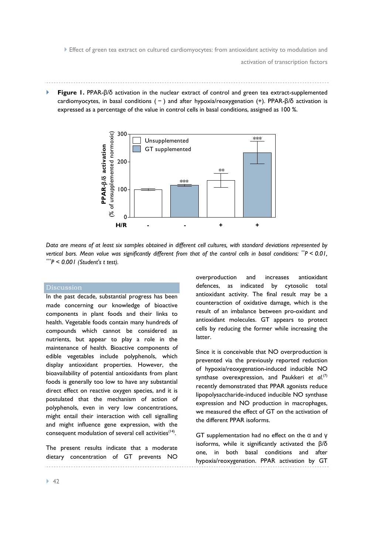` Effect of green tea extract on cultured cardiomyocytes: from antioxidant activity to modulation and

activation of transcription factors

` **Figure 1.** PPAR-β/δ activation in the nuclear extract of control and green tea extract-supplemented cardiomyocytes, in basal conditions ( − ) and after hypoxia/reoxygenation (+). PPAR-β/δ activation is expressed as a percentage of the value in control cells in basal conditions, assigned as 100 %.



*Data are means of at least six samples obtained in different cell cultures, with standard deviations represented by vertical bars. Mean value was significantly different from that of the control cells in basal conditions: \*\*P < 0.01, \*\*\*P < 0.001 (Student's t test).*

In the past decade, substantial progress has been made concerning our knowledge of bioactive components in plant foods and their links to health. Vegetable foods contain many hundreds of compounds which cannot be considered as nutrients, but appear to play a role in the maintenance of health. Bioactive components of edible vegetables include polyphenols, which display antioxidant properties. However, the bioavailability of potential antioxidants from plant foods is generally too low to have any substantial direct effect on reactive oxygen species, and it is postulated that the mechanism of action of polyphenols, even in very low concentrations, might entail their interaction with cell signalling and might influence gene expression, with the consequent modulation of several cell activities $(14)$ .

The present results indicate that a moderate dietary concentration of GT prevents NO

overproduction and increases antioxidant defences, as indicated by cytosolic total antioxidant activity. The final result may be a counteraction of oxidative damage, which is the result of an imbalance between pro-oxidant and antioxidant molecules. GT appears to protect cells by reducing the former while increasing the latter.

Since it is conceivable that NO overproduction is prevented via the previously reported reduction of hypoxia/reoxygenation-induced inducible NO synthase overexpression, and Paukkeri et al.<sup>(7)</sup> recently demonstrated that PPAR agonists reduce lipopolysaccharide-induced inducible NO synthase expression and NO production in macrophages, we measured the effect of GT on the activation of the different PPAR isoforms.

GT supplementation had no effect on the α and γ isoforms, while it significantly activated the β/δ one, in both basal conditions and after hypoxia/reoxygenation. PPAR activation by GT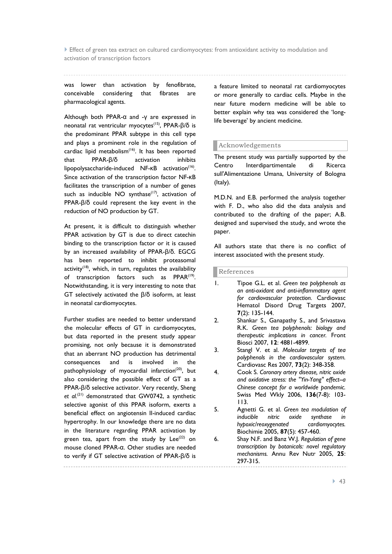` Effect of green tea extract on cultured cardiomyocytes: from antioxidant activity to modulation and activation of transcription factors

was lower than activation by fenofibrate, conceivable considering that fibrates are pharmacological agents.

Although both PPAR-α and -γ are expressed in neonatal rat ventricular myocytes(15), PPAR-β/δ is the predominant PPAR subtype in this cell type and plays a prominent role in the regulation of cardiac lipid metabolism<sup> $(16)$ </sup>. It has been reported that PPAR-β/δ activation inhibits lipopolysaccharide-induced NF-κB activation(16). Since activation of the transcription factor NF-κB facilitates the transcription of a number of genes such as inducible  $NO$  synthase<sup>(17)</sup>, activation of PPAR-β/δ could represent the key event in the reduction of NO production by GT.

At present, it is difficult to distinguish whether PPAR activation by GT is due to direct catechin binding to the transcription factor or it is caused by an increased availability of PPAR-β/δ. EGCG has been reported to inhibit proteasomal activity<sup>(18)</sup>, which, in turn, regulates the availability of transcription factors such as PPAR<sup>(19)</sup>. Notwithstanding, it is very interesting to note that GT selectively activated the β/δ isoform, at least in neonatal cardiomyocytes.

Further studies are needed to better understand the molecular effects of GT in cardiomyocytes, but data reported in the present study appear promising, not only because it is demonstrated that an aberrant NO production has detrimental consequences and is involved in the pathophysiology of myocardial infarction<sup>(20)</sup>, but also considering the possible effect of GT as a PPAR-β/δ selective activator. Very recently, Sheng *et al.*(21) demonstrated that GW0742, a synthetic selective agonist of this PPAR isoform, exerts a beneficial effect on angiotensin II-induced cardiac hypertrophy. In our knowledge there are no data in the literature regarding PPAR activation by green tea, apart from the study by Lee $(22)$  on mouse cloned PPAR-α. Other studies are needed to verify if GT selective activation of PPAR-β/δ is

a feature limited to neonatal rat cardiomyocytes or more generally to cardiac cells. Maybe in the near future modern medicine will be able to better explain why tea was considered the 'longlife beverage' by ancient medicine.

# Acknowledgements

The present study was partially supported by the Centro Interdipartimentale di Ricerca sull'Alimentazione Umana, University of Bologna (Italy).

M.D.N. and E.B. performed the analysis together with F. D., who also did the data analysis and contributed to the drafting of the paper; A.B. designed and supervised the study, and wrote the paper.

All authors state that there is no conflict of interest associated with the present study.

References

- 1. Tipoe G.L. et al. *Green tea polyphenols as an anti-oxidant and anti-inflammatory agent for cardiovascular protection.* Cardiovasc Hematol Disord Drug Targets 2007, **7**(2): 135-144.
- 2. Shankar S., Ganapathy S., and Srivastava R.K. *Green tea polyphenols: biology and therapeutic implications in cancer.* Front Biosci 2007, **12**: 4881-4899.
- 3. Stangl V. et al. *Molecular targets of tea polyphenols in the cardiovascular system.* Cardiovasc Res 2007, **73**(2): 348-358.
- 4. Cook S. *Coronary artery disease, nitric oxide and oxidative stress: the "Yin-Yang" effect--a Chinese concept for a worldwide pandemic.* Swiss Med Wkly 2006, **136**(7-8): 103- 113.
- 5. Agnetti G. et al. *Green tea modulation of inducible nitric oxide synthase in hypoxic/reoxygenated cardiomyocytes.* Biochimie 2005, **87**(5): 457-460.
- 6. Shay N.F. and Banz W.J. *Regulation of gene transcription by botanicals: novel regulatory mechanisms.* Annu Rev Nutr 2005, **25**: 297-315.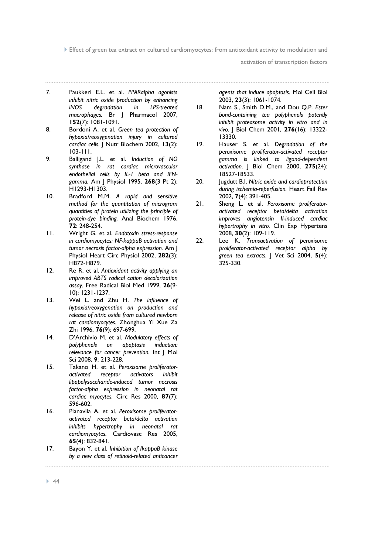` Effect of green tea extract on cultured cardiomyocytes: from antioxidant activity to modulation and

activation of transcription factors

- 7. Paukkeri E.L. et al. *PPARalpha agonists inhibit nitric oxide production by enhancing iNOS degradation in LPS-treated macrophages.* Br J Pharmacol 2007, **152**(7): 1081-1091.
- 8. Bordoni A. et al. *Green tea protection of hypoxia/reoxygenation injury in cultured cardiac cells.* J Nutr Biochem 2002, **13**(2): 103-111.
- 9. Balligand J.L. et al. *Induction of NO synthase in rat cardiac microvascular endothelial cells by IL-1 beta and IFNgamma.* Am J Physiol 1995, **268**(3 Pt 2): H1293-H1303.
- 10. Bradford M.M. *A rapid and sensitive method for the quantitation of microgram quantities of protein utilizing the principle of protein-dye binding.* Anal Biochem 1976, **72**: 248-254.
- 11. Wright G. et al. *Endotoxin stress-response in cardiomyocytes: NF-kappaB activation and tumor necrosis factor-alpha expression.* Am J Physiol Heart Circ Physiol 2002, **282**(3): H872-H879.
- 12. Re R. et al. *Antioxidant activity applying an improved ABTS radical cation decolorization assay.* Free Radical Biol Med 1999, **26**(9- 10): 1231-1237.
- 13. Wei L. and Zhu H. *The influence of hypoxia/reoxygenation on production and release of nitric oxide from cultured newborn rat cardiomyocytes.* Zhonghua Yi Xue Za Zhi 1996, **76**(9): 697-699.
- 14. D'Archivio M. et al. *Modulatory effects of polyphenols on apoptosis induction: relevance for cancer prevention.* Int J Mol Sci 2008, **9**: 213-228.
- 15. Takano H. et al. *Peroxisome proliferatoractivated receptor activators inhibit lipopolysaccharide-induced tumor necrosis factor-alpha expression in neonatal rat cardiac myocytes.* Circ Res 2000, **87**(7): 596-602.
- 16. Planavila A. et al. *Peroxisome proliferatoractivated receptor beta/delta activation inhibits hypertrophy in neonatal rat cardiomyocytes.* Cardiovasc Res 2005, **65**(4): 832-841.
- 17. Bayon Y. et al. *Inhibition of IkappaB kinase by a new class of retinoid-related anticancer*

*agents that induce apoptosis.* Mol Cell Biol 2003, **23**(3): 1061-1074.

- 18. Nam S., Smith D.M., and Dou Q.P. *Ester bond-containing tea polyphenols potently inhibit proteasome activity in vitro and in vivo.* J Biol Chem 2001, **276**(16): 13322- 13330.
- 19. Hauser S. et al. *Degradation of the peroxisome proliferator-activated receptor gamma is linked to ligand-dependent activation.* J Biol Chem 2000, **275**(24): 18527-18533.
- 20. Jugdutt B.I. *Nitric oxide and cardioprotection during ischemia-reperfusion.* Heart Fail Rev 2002, **7**(4): 391-405.
- 21. Sheng L. et al. *Peroxisome proliferatoractivated receptor beta/delta activation improves angiotensin II-induced cardiac hypertrophy in vitro.* Clin Exp Hypertens 2008, **30**(2): 109-119.
- 22. Lee K. *Transactivation of peroxisome proliferator-activated receptor alpha by green tea extracts.* J Vet Sci 2004, **5**(4): 325-330.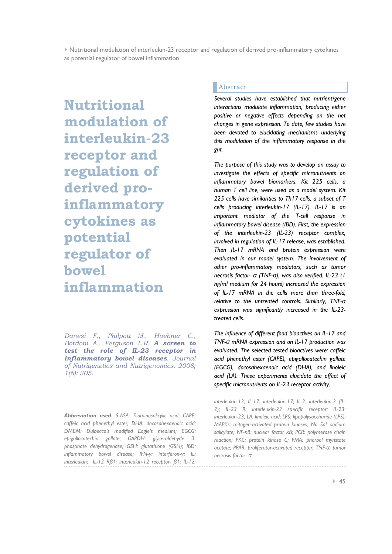` Nutritional modulation of interleukin-23 receptor and regulation of derived pro-inflammatory cytokines as potential regulator of bowel inflammation

**Nutritional modulation of interleukin-23 receptor and regulation of derived proinflammatory cytokines as potential regulator of bowel inflammation**

*Danesi F., Philpott M., Huebner C., Bordoni A., Ferguson L.R. A screen to test the role of IL-23 receptor in inflammatory bowel diseases. Journal of Nutrigenetics and Nutrigenomics. 2008; 1(6): 305.* 

l

# **Abstract**

*Several studies have established that nutrient/gene interactions modulate inflammation, producing either positive or negative effects depending on the net changes in gene expression. To date, few studies have been devoted to elucidating mechanisms underlying this modulation of the inflammatory response in the gut.* 

*The purpose of this study was to develop an assay to investigate the effects of specific micronutrients on inflammatory bowel biomarkers. Kit 225 cells, a human T cell line, were used as a model system. Kit 225 cells have similarities to Th17 cells, a subset of T cells producing interleukin-17 (IL-17). IL-17 is an important mediator of the T-cell response in inflammatory bowel disease (IBD). First, the expression of the interleukin-23 (IL-23) receptor complex, involved in regulation of IL-17 release, was established. Then IL-17 mRNA and protein expression were evaluated in our model system. The involvement of other pro-inflammatory mediators, such as tumor necrosis factor- α (TNF-α), was also verified. IL-23 (1 ng/ml medium for 24 hours) increased the expression of IL-17 mRNA in the cells more than three-fold, relative to the untreated controls. Similarly, TNF-α expression was significantly increased in the IL-23 treated cells.* 

*The influence of different food bioactives on IL-17 and TNF-α mRNA expression and on IL-17 production was evaluated. The selected tested bioactives were: caffeic acid phenethyl ester (CAPE), epigallocatechin gallate (EGCG), docosahexaenoic acid (DHA), and linoleic acid (LA). These experiments elucidate the effect of specific micronutrients on IL-23 receptor activity.* 

<u>.</u>

*Abbreviation used: 5-ASA: 5-aminosalicylic acid; CAPE: caffeic acid phenethyl ester; DHA: docosahexaenoic acid; DMEM: Dulbecco's modified Eagle's medium; EGCG: epigallocatechin gallate; GAPDH: glyceraldehyde 3 phosphate dehydrogenase; GSH: glutathione (GSH); IBD: inflammatory bowel disease; IFN-γ: interferon-γ; IL: interleukin; IL-12 Rβ1: interleukin-12 receptor- β1; IL-12:* 

*interleukin-12; IL-17: interleukin-17; IL-2: interleukin-2 (IL-2); IL-23 R: interleukin-23 specific receptor; IL-23: interleukin-23; LA: linoleic acid; LPS: lipopolysaccharide (LPS); MAPKs: mitogen-activated protein kinases; Na Sal: sodium salicylate; NF-κB: nuclear factor κB; PCR: polymerase chain reaction; PKC: protein kinase C; PMA: phorbol myristate acetate; PPAR: proliferator-activated receptor; TNF-α: tumor necrosis factor- α.*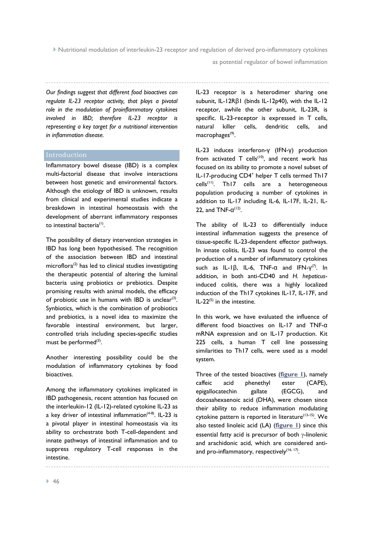` Nutritional modulation of interleukin-23 receptor and regulation of derived pro-inflammatory cytokines

as potential regulator of bowel inflammation

*Our findings suggest that different food bioactives can regulate IL-23 receptor activity, that plays a pivotal role in the modulation of proinflammatory cytokines involved in IBD; therefore IL-23 receptor is representing a key target for a nutritional intervention in inflammation disease.* 

Inflammatory bowel disease (IBD) is a complex multi-factorial disease that involve interactions between host genetic and environmental factors. Although the etiology of IBD is unknown, results from clinical and experimental studies indicate a breakdown in intestinal homeostasis with the development of aberrant inflammatory responses to intestinal bacteria<sup>(1)</sup>.

The possibility of dietary intervention strategies in IBD has long been hypothesised. The recognition of the association between IBD and intestinal microflora<sup>(2)</sup> has led to clinical studies investigating the therapeutic potential of altering the luminal bacteria using probiotics or prebiotics. Despite promising results with animal models, the efficacy of probiotic use in humans with IBD is unclear<sup>(3)</sup>. Synbiotics, which is the combination of probiotics and prebiotics, is a novel idea to maximize the favorable intestinal environment, but larger, controlled trials including species-specific studies must be performed $^{(3)}$ .

Another interesting possibility could be the modulation of inflammatory cytokines by food bioactives.

Among the inflammatory cytokines implicated in IBD pathogenesis, recent attention has focused on the interleukin-12 (IL-12)-related cytokine IL-23 as a key driver of intestinal inflammation<sup> $(4-8)$ </sup>. IL-23 is a pivotal player in intestinal homeostasis via its ability to orchestrate both T-cell-dependent and innate pathways of intestinal inflammation and to suppress regulatory T-cell responses in the intestine.

IL-23 receptor is a heterodimer sharing one subunit, IL-12Rβ1 (binds IL-12p40), with the IL-12 receptor, awhile the other subunit, IL-23R, is specific. IL-23-receptor is expressed in T cells, natural killer cells, dendritic cells, and macrophages<sup>(9)</sup>.

IL-23 induces interferon-γ (IFN-γ) production from activated  $T$  cells<sup>(10)</sup>, and recent work has focused on its ability to promote a novel subset of IL-17-producing CD4<sup>+</sup> helper T cells termed Th17  $cells<sup>(11)</sup>$ . Th17 cells are a heterogeneous population producing a number of cytokines in addition to IL-17 including IL-6, IL-17F, IL-21, IL-22, and TNF- $\alpha^{(12)}$ .

The ability of IL-23 to differentially induce intestinal inflammation suggests the presence of tissue-specific IL-23-dependent effector pathways. In innate colitis, IL-23 was found to control the production of a number of inflammatory cytokines such as IL-1 $\beta$ , IL-6, TNF- $\alpha$  and IFN- $\gamma^{(7)}$ . In addition, in both anti-CD40 and *H. hepaticus*induced colitis, there was a highly localized induction of the Th17 cytokines IL-17, IL-17F, and  $II - 22<sup>(5)</sup>$  in the intestine.

In this work, we have evaluated the influence of different food bioactives on IL-17 and TNF-α mRNA expression and on IL-17 production. Kit 225 cells, a human T cell line possessing similarities to Th17 cells, were used as a model system.

Three of the tested bioactives (**figure 1**), namely caffeic acid phenethyl ester (CAPE), epigallocatechin gallate (EGCG), and docosahexaenoic acid (DHA), were chosen since their ability to reduce inflammation modulating cytokine pattern is reported in literature<sup>(13-15)</sup>. We also tested linoleic acid (LA) (**figure 1**) since this essential fatty acid is precursor of both γ-linolenic and arachidonic acid, which are considered antiand pro-inflammatory, respectively<sup>(16, 17)</sup>.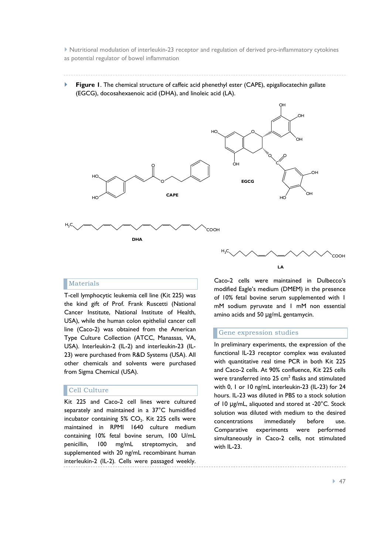` Nutritional modulation of interleukin-23 receptor and regulation of derived pro-inflammatory cytokines as potential regulator of bowel inflammation

**Figure 1**. The chemical structure of caffeic acid phenethyl ester (CAPE), epigallocatechin gallate (EGCG), docosahexaenoic acid (DHA), and linoleic acid (LA).



# Materials

T-cell lymphocytic leukemia cell line (Kit 225) was the kind gift of Prof. Frank Ruscetti (National Cancer Institute, National Institute of Health, USA), while the human colon epithelial cancer cell line (Caco-2) was obtained from the American Type Culture Collection (ATCC, Manassas, VA, USA). Interleukin-2 (IL-2) and interleukin-23 (IL-23) were purchased from R&D Systems (USA). All other chemicals and solvents were purchased from Sigma Chemical (USA).

# Cell Culture

Kit 225 and Caco-2 cell lines were cultured separately and maintained in a 37°C humidified incubator containing  $5\%$  CO<sub>2</sub>. Kit 225 cells were maintained in RPMI 1640 culture medium containing 10% fetal bovine serum, 100 U/mL penicillin, 100 mg/mL streptomycin, and supplemented with 20 ng/mL recombinant human interleukin-2 (IL-2). Cells were passaged weekly.

Caco-2 cells were maintained in Dulbecco's modified Eagle's medium (DMEM) in the presence of 10% fetal bovine serum supplemented with 1 mM sodium pyruvate and 1 mM non essential amino acids and 50 μg/mL gentamycin.

### Gene expression studies

In preliminary experiments, the expression of the functional IL-23 receptor complex was evaluated with quantitative real time PCR in both Kit 225 and Caco-2 cells. At 90% confluence, Kit 225 cells were transferred into  $25 \text{ cm}^2$  flasks and stimulated with 0, 1 or 10 ng/mL interleukin-23 (IL-23) for 24 hours. IL-23 was diluted in PBS to a stock solution of 10 μg/mL, aliquoted and stored at -20°C. Stock solution was diluted with medium to the desired concentrations immediately before use. Comparative experiments were performed simultaneously in Caco-2 cells, not stimulated with IL-23.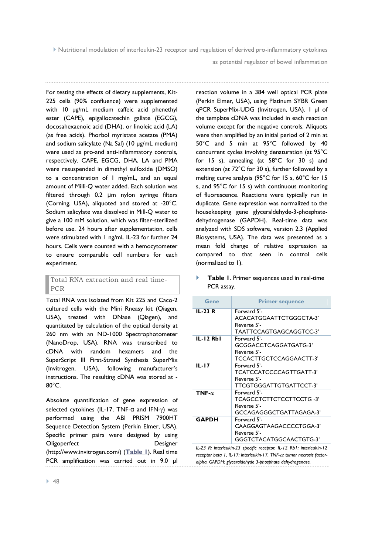` Nutritional modulation of interleukin-23 receptor and regulation of derived pro-inflammatory cytokines

as potential regulator of bowel inflammation

For testing the effects of dietary supplements, Kit-225 cells (90% confluence) were supplemented with 10 µg/mL medium caffeic acid phenethyl ester (CAPE), epigallocatechin gallate (EGCG), docosahexaenoic acid (DHA), or linoleic acid (LA) (as free acids). Phorbol myristate acetate (PMA) and sodium salicylate (Na Sal) (10 µg/mL medium) were used as pro-and anti-inflammatory controls, respectively. CAPE, EGCG, DHA, LA and PMA were resuspended in dimethyl sulfoxide (DMSO) to a concentration of 1 mg/mL, and an equal amount of Milli-Q water added. Each solution was filtered through 0.2 μm nylon syringe filters (Corning, USA), aliquoted and stored at -20°C. Sodium salicylate was dissolved in Mill-Q water to give a 100 mM solution, which was filter-sterilized before use. 24 hours after supplementation, cells were stimulated with 1 ng/mL IL-23 for further 24 hours. Cells were counted with a hemocytometer to ensure comparable cell numbers for each experiment.

Total RNA extraction and real time-PCR

Total RNA was isolated from Kit 225 and Caco-2 cultured cells with the Mini Rneasy kit (Qiagen, USA), treated with DNase (Qiagen), and quantitated by calculation of the optical density at 260 nm with an ND-1000 Spectrophotometer (NanoDrop, USA). RNA was transcribed to cDNA with random hexamers and the SuperScript III First-Strand Synthesis SuperMix (Invitrogen, USA), following manufacturer's instructions. The resulting cDNA was stored at - 80°C.

Absolute quantification of gene expression of selected cytokines (IL-17, TNF-α and IFN-γ) was performed using the ABI PRISM 7900HT Sequence Detection System (Perkin Elmer, USA). Specific primer pairs were designed by using Oligoperfect Designer (http://www.invitrogen.com/) (**Table 1**). Real time PCR amplification was carried out in 9.0 µl

reaction volume in a 384 well optical PCR plate (Perkin Elmer, USA), using Platinum SYBR Green qPCR SuperMix-UDG (Invitrogen, USA). 1 µl of the template cDNA was included in each reaction volume except for the negative controls. Aliquots were then amplified by an initial period of 2 min at 50°C and 5 min at 95°C followed by 40 concurrent cycles involving denaturation (at 95°C for 15 s), annealing (at 58°C for 30 s) and extension (at 72°C for 30 s), further followed by a melting curve analysis (95°C for 15 s, 60°C for 15 s, and 95°C for 15 s) with continuous monitoring of fluorescence. Reactions were typically run in duplicate. Gene expression was normalized to the housekeeping gene glyceraldehyde-3-phosphatedehydrogenase (GAPDH). Real-time data was analyzed with SDS software, version 2.3 (Applied Biosystems, USA). The data was presented as a mean fold change of relative expression as compared to that seen in control cells (normalized to 1).

# **▶ Table 1. Primer sequences used in real-time** PCR assay.

| Gene          | <b>Primer sequence</b>                                                           |
|---------------|----------------------------------------------------------------------------------|
| IL-23 R       | Forward 5'-<br>ACACATGGAATTCTGGGCTA-3'<br>Reverse 5'-<br>TAATTCCAGTGAGCAGGTCC-3' |
| IL-12 Rb1     | Forward 5'-<br>GCGGACCTCAGGATGATG-3'<br>Reverse 5'-<br>TCCACTTGCTCCAGGAACTT-3'   |
| $IL-I7$       | Forward 5'-<br>TCATCCATCCCCAGTTGATT-3'<br>Reverse 5'-<br>TTCGTGGGATTGTGATTCCT-3' |
| TNF- $\alpha$ | Forward 5'-<br>TCAGCCTCTTCTCCTTCCTG-3'<br>Reverse 5'-<br>GCCAGAGGGCTGATTAGAGA-3' |
| <b>GAPDH</b>  | Forward 5'-<br>CAAGGAGTAAGACCCCTGGA-3'<br>Reverse 5'-<br>GGGTCTACATGGCAACTGTG-3' |

*IL-23 R: interleukin-23 specific receptor, IL-12 Rb1: interleukin-12 receptor beta 1, IL-17: interleukin-17, TNF-*α*: tumor necrosis factoralpha, GAPDH: glyceraldehyde 3-phosphate dehydrogenase.*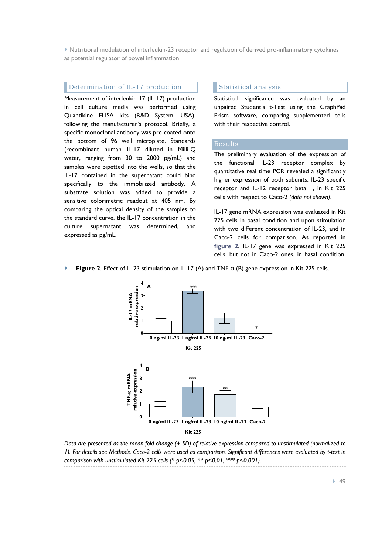` Nutritional modulation of interleukin-23 receptor and regulation of derived pro-inflammatory cytokines as potential regulator of bowel inflammation

#### Determination of IL-17 production

Measurement of interleukin 17 (IL-17) production in cell culture media was performed using Quantikine ELISA kits (R&D System, USA), following the manufacturer's protocol. Briefly, a specific monoclonal antibody was pre-coated onto the bottom of 96 well microplate. Standards (recombinant human IL-17 diluted in Milli-Q water, ranging from 30 to 2000 pg/mL) and samples were pipetted into the wells, so that the IL-17 contained in the supernatant could bind specifically to the immobilized antibody. A substrate solution was added to provide a sensitive colorimetric readout at 405 nm. By comparing the optical density of the samples to the standard curve, the IL-17 concentration in the culture supernatant was determined, and expressed as pg/mL.

#### Statistical analysis

Statistical significance was evaluated by an unpaired Student's t-Test using the GraphPad Prism software, comparing supplemented cells with their respective control.

The preliminary evaluation of the expression of the functional IL-23 receptor complex by quantitative real time PCR revealed a significantly higher expression of both subunits, IL-23 specific receptor and IL-12 receptor beta 1, in Kit 225 cells with respect to Caco-2 *(data not shown)*.

IL-17 gene mRNA expression was evaluated in Kit 225 cells in basal condition and upon stimulation with two different concentration of IL-23, and in Caco-2 cells for comparison. As reported in **figure 2**, IL-17 gene was expressed in Kit 225 cells, but not in Caco-2 ones, in basal condition,

` **Figure 2**. Effect of IL-23 stimulation on IL-17 (A) and TNF-α (B) gene expression in Kit 225 cells.



*Data are presented as the mean fold change (± SD) of relative expression compared to unstimulated (normalized to 1). For details see Methods. Caco-2 cells were used as comparison. Significant differences were evaluated by t-test in comparison with unstimulated Kit 225 cells (\* p<0.05, \*\* p<0.01, \*\*\* p<0.001).*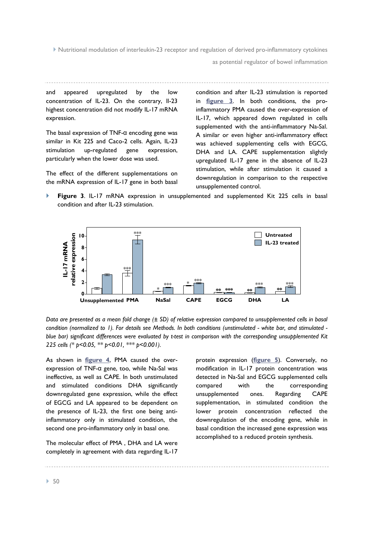` Nutritional modulation of interleukin-23 receptor and regulation of derived pro-inflammatory cytokines

as potential regulator of bowel inflammation

and appeared upregulated by the low concentration of IL-23. On the contrary, Il-23 highest concentration did not modify IL-17 mRNA expression.

The basal expression of TNF-α encoding gene was similar in Kit 225 and Caco-2 cells. Again, IL-23 stimulation up-regulated gene expression, particularly when the lower dose was used.

The effect of the different supplementations on the mRNA expression of IL-17 gene in both basal condition and after IL-23 stimulation is reported in **figure 3**. In both conditions, the proinflammatory PMA caused the over-expression of IL-17, which appeared down regulated in cells supplemented with the anti-inflammatory Na-Sal. A similar or even higher anti-inflammatory effect was achieved supplementing cells with EGCG, DHA and LA. CAPE supplementation slightly upregulated IL-17 gene in the absence of IL-23 stimulation, while after stimulation it caused a downregulation in comparison to the respective unsupplemented control.

**Figure 3. IL-17 mRNA** expression in unsupplemented and supplemented Kit 225 cells in basal condition and after IL-23 stimulation.



*Data are presented as a mean fold change (± SD) of relative expression compared to unsupplemented cells in basal condition (normalized to 1). For details see Methods. In both conditions (unstimulated - white bar, and stimulated blue bar) significant differences were evaluated by t-test in comparison with the corresponding unsupplemented Kit 225 cells (\* p<0.05, \*\* p<0.01, \*\*\* p<0.001).* 

As shown in **figure 4**, PMA caused the overexpression of TNF-α gene, too, while Na-Sal was ineffective, as well as CAPE. In both unstimulated and stimulated conditions DHA significantly downregulated gene expression, while the effect of EGCG and LA appeared to be dependent on the presence of IL-23, the first one being antiinflammatory only in stimulated condition, the second one pro-inflammatory only in basal one.

The molecular effect of PMA , DHA and LA were completely in agreement with data regarding IL-17

protein expression (**figure 5**). Conversely, no modification in IL-17 protein concentration was detected in Na-Sal and EGCG supplemented cells compared with the corresponding unsupplemented ones. Regarding CAPE supplementation, in stimulated condition the lower protein concentration reflected the downregulation of the encoding gene, while in basal condition the increased gene expression was accomplished to a reduced protein synthesis.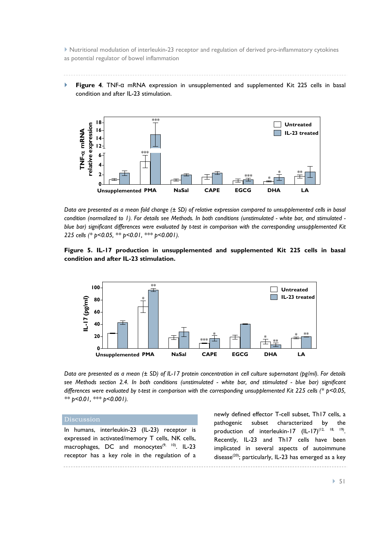` Nutritional modulation of interleukin-23 receptor and regulation of derived pro-inflammatory cytokines as potential regulator of bowel inflammation

` **Figure 4**. TNF-α mRNA expression in unsupplemented and supplemented Kit 225 cells in basal condition and after IL-23 stimulation.



*Data are presented as a mean fold change (± SD) of relative expression compared to unsupplemented cells in basal condition (normalized to 1). For details see Methods. In both conditions (unstimulated - white bar, and stimulated*  blue bar) significant differences were evaluated by t-test in comparison with the corresponding unsupplemented Kit *225 cells (\* p<0.05, \*\* p<0.01, \*\*\* p<0.001).*

# **Figure 5. IL-17 production in unsupplemented and supplemented Kit 225 cells in basal condition and after IL-23 stimulation.**



*Data are presented as a mean (± SD) of IL-17 protein concentration in cell culture supernatant (pg/ml). For details see Methods section 2.4. In both conditions (unstimulated - white bar, and stimulated - blue bar) significant differences were evaluated by t-test in comparison with the corresponding unsupplemented Kit 225 cells (\* p<0.05, \*\* p<0.01, \*\*\* p<0.001).* 

In humans, interleukin-23 (IL-23) receptor is expressed in activated/memory T cells, NK cells, macrophages, DC and monocytes<sup>(9, 10)</sup>. IL-23 receptor has a key role in the regulation of a

newly defined effector T-cell subset, Th17 cells, a pathogenic subset characterized by the production of interleukin-17  $(IL-17)^{(12, 18, 19)}$ . Recently, IL-23 and Th17 cells have been implicated in several aspects of autoimmune disease<sup>(20)</sup>; particularly, IL-23 has emerged as a key

-----------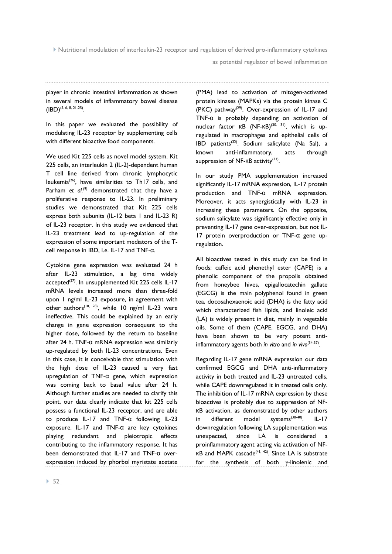` Nutritional modulation of interleukin-23 receptor and regulation of derived pro-inflammatory cytokines

as potential regulator of bowel inflammation

player in chronic intestinal inflammation as shown in several models of inflammatory bowel disease  $(IBD)^{(5, 6, 8, 21-25)}$ .

In this paper we evaluated the possibility of modulating IL-23 receptor by supplementing cells with different bioactive food components.

We used Kit 225 cells as novel model system. Kit 225 cells, an interleukin 2 (IL-2)-dependent human T cell line derived from chronic lymphocytic leukemia(26), have similarities to Th17 cells, and Parham *et al.<sup>(9)</sup>* demonstrated that they have a proliferative response to IL-23. In preliminary studies we demonstrated that Kit 225 cells express both subunits (IL-12 beta 1 and IL-23 R) of IL-23 receptor. In this study we evidenced that IL-23 treatment lead to up-regulation of the expression of some important mediators of the Tcell response in IBD, i.e. IL-17 and TNF-α.

Cytokine gene expression was evaluated 24 h after IL-23 stimulation, a lag time widely accepted<sup>(27)</sup>. In unsupplemented Kit 225 cells IL-17 mRNA levels increased more than three-fold upon 1 ng/ml IL-23 exposure, in agreement with other authors<sup>(18, 28)</sup>, while 10 ng/ml IL-23 were ineffective. This could be explained by an early change in gene expression consequent to the higher dose, followed by the return to baseline after 24 h. TNF-α mRNA expression was similarly up-regulated by both IL-23 concentrations. Even in this case, it is conceivable that stimulation with the high dose of IL-23 caused a very fast upregulation of TNF-α gene, which expression was coming back to basal value after 24 h. Although further studies are needed to clarify this point, our data clearly indicate that kit 225 cells possess a functional IL-23 receptor, and are able to produce IL-17 and TNF-α following IL-23 exposure. IL-17 and TNF-α are key cytokines playing redundant and pleiotropic effects contributing to the inflammatory response. It has been demonstrated that IL-17 and TNF-α overexpression induced by phorbol myristate acetate

(PMA) lead to activation of mitogen-activated protein kinases (MAPKs) via the protein kinase C (PKC) pathway<sup>(29)</sup>. Over-expression of IL-17 and TNF-α is probably depending on activation of nuclear factor κB (NF-κB)<sup>(30, 31)</sup>, which is upregulated in macrophages and epithelial cells of IBD patients(32). Sodium salicylate (Na Sal), a known anti-inflammatory, acts through suppression of NF-κB activity<sup>(33)</sup>.

In our study PMA supplementation increased significantly IL-17 mRNA expression, IL-17 protein production and TNF-α mRNA expression. Moreover, it acts synergistically with IL-23 in increasing these parameters. On the opposite, sodium salicylate was significantly effective only in preventing IL-17 gene over-expression, but not IL-17 protein overproduction or TNF-α gene upregulation.

All bioactives tested in this study can be find in foods: caffeic acid phenethyl ester (CAPE) is a phenolic component of the propolis obtained from honeybee hives, epigallocatechin gallate (EGCG) is the main polyphenol found in green tea, docosahexaenoic acid (DHA) is the fatty acid which characterized fish lipids, and linoleic acid (LA) is widely present in diet, mainly in vegetable oils. Some of them (CAPE, EGCG, and DHA) have been shown to be very potent antiinflammatory agents both *in vitro* and *in vivo*(34-37).

Regarding IL-17 gene mRNA expression our data confirmed EGCG and DHA anti-inflammatory activity in both treated and IL-23 untreated cells, while CAPE downregulated it in treated cells only. The inhibition of IL-17 mRNA expression by these bioactives is probably due to suppression of NFκB activation, as demonstrated by other authors in different model systems $(38-40)$ . IL-17 downregulation following LA supplementation was unexpected, since LA is considered a proinflammatory agent acting via activation of NFκB and MAPK cascade<sup>(41, 42)</sup>. Since LA is substrate for the synthesis of both γ-linolenic and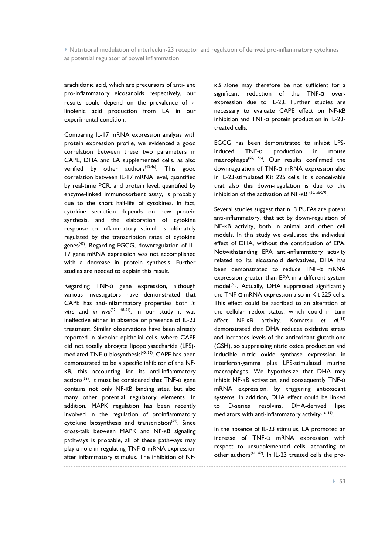` Nutritional modulation of interleukin-23 receptor and regulation of derived pro-inflammatory cytokines as potential regulator of bowel inflammation

arachidonic acid, which are precursors of anti- and pro-inflammatory eicosanoids respectively, our results could depend on the prevalence of γlinolenic acid production from LA in our experimental condition.

Comparing IL-17 mRNA expression analysis with protein expression profile, we evidenced a good correlation between these two parameters in CAPE, DHA and LA supplemented cells, as also verified by other authors<sup>(43-46)</sup>. This good correlation between IL-17 mRNA level, quantified by real-time PCR, and protein level, quantified by enzyme-linked immunosorbent assay, is probably due to the short half-life of cytokines. In fact, cytokine secretion depends on new protein synthesis, and the elaboration of cytokine response to inflammatory stimuli is ultimately regulated by the transcription rates of cytokine genes<sup>(47)</sup>. Regarding EGCG, downregulation of IL-17 gene mRNA expression was not accomplished with a decrease in protein synthesis. Further studies are needed to explain this result.

Regarding TNF-α gene expression, although various investigators have demonstrated that CAPE has anti-inflammatory properties both *in vitro* and *in vivo*(32, 48-51), in our study it was ineffective either in absence or presence of IL-23 treatment. Similar observations have been already reported in alveolar epithelial cells, where CAPE did not totally abrogate lipopolysaccharide (LPS) mediated TNF-α biosynthesis<sup>(40, 52)</sup>. CAPE has been demonstrated to be a specific inhibitor of the NFκB, this accounting for its anti-inflammatory actions<sup>(53)</sup>. It must be considered that TNF- $\alpha$  gene contains not only NF-κB binding sites, but also many other potential regulatory elements. In addition, MAPK regulation has been recently involved in the regulation of proinflammatory cytokine biosynthesis and transcription<sup> $(54)$ </sup>. Since cross-talk between MAPK and NF-κB signaling pathways is probable, all of these pathways may play a role in regulating TNF-α mRNA expression after inflammatory stimulus. The inhibition of NF-

κB alone may therefore be not sufficient for a significant reduction of the TNF-α overexpression due to IL-23. Further studies are necessary to evaluate CAPE effect on NF-κB inhibition and TNF-α protein production in IL-23 treated cells.

EGCG has been demonstrated to inhibit LPSinduced TNF-α production in mouse macrophages(55, 56). Our results confirmed the downregulation of TNF-α mRNA expression also in IL-23-stimulated Kit 225 cells. It is conceivable that also this down-regulation is due to the inhibition of the activation of NF- $KB$ <sup>(30, 56-59)</sup>.

Several studies suggest that n−3 PUFAs are potent anti-inflammatory, that act by down-regulation of NF-κB activity, both in animal and other cell models. In this study we evaluated the individual effect of DHA, without the contribution of EPA. Notwithstanding EPA anti-inflammatory activity related to its eicosanoid derivatives, DHA has been demonstrated to reduce TNF-α mRNA expression greater than EPA in a different system model<sup>(60)</sup>. Actually, DHA suppressed significantly the TNF-α mRNA expression also in Kit 225 cells. This effect could be ascribed to an alteration of the cellular redox status, which could in turn affect NF-κB activity. Komatsu et *al.*<sup>(61)</sup> demonstrated that DHA reduces oxidative stress and increases levels of the antioxidant glutathione (GSH), so suppressing nitric oxide production and inducible nitric oxide synthase expression in interferon-gamma plus LPS-stimulated murine macrophages. We hypothesize that DHA may inhibit NF-κB activation, and consequently TNF-α mRNA expression, by triggering antioxidant systems. In addition, DHA effect could be linked to D-series resolvins, DHA-derived lipid mediators with anti-inflammatory activity $(15, 62)$ .

In the absence of IL-23 stimulus, LA promoted an increase of TNF-α mRNA expression with respect to unsupplemented cells, according to other authors<sup> $(41, 42)$ </sup>. In IL-23 treated cells the pro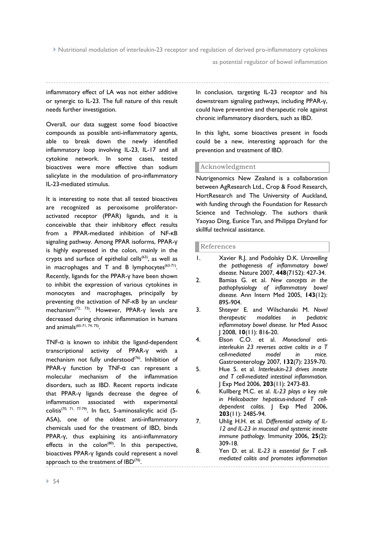` Nutritional modulation of interleukin-23 receptor and regulation of derived pro-inflammatory cytokines

as potential regulator of bowel inflammation

inflammatory effect of LA was not either additive or synergic to IL-23. The full nature of this result needs further investigation.

Overall, our data suggest some food bioactive compounds as possible anti-inflammatory agents, able to break down the newly identified inflammatory loop involving IL-23, IL-17 and all cytokine network. In some cases, tested bioactives were more effective than sodium salicylate in the modulation of pro-inflammatory IL-23-mediated stimulus.

It is interesting to note that all tested bioactives are recognized as peroxisome proliferatoractivated receptor (PPAR) ligands, and it is conceivable that their inhibitory effect results from a PPAR-mediated inhibition of NF-κB signaling pathway. Among PPAR isoforms, PPAR-γ is highly expressed in the colon, mainly in the crypts and surface of epithelial cells<sup>(63)</sup>, as well as in macrophages and  $T$  and  $B$  lymphocytes<sup>(63-71)</sup>. Recently, ligands for the PPAR-γ have been shown to inhibit the expression of various cytokines in monocytes and macrophages, principally by preventing the activation of NF-κB by an unclear mechanism<sup>(72, 73)</sup>. However, PPAR-γ levels are decreased during chronic inflammation in humans and animals<sup>(65-71, 74, 75)</sup>.

TNF-α is known to inhibit the ligand-dependent transcriptional activity of PPAR-γ with a mechanism not fully understood $(76)$ . Inhibition of PPAR-γ function by TNF-α can represent a molecular mechanism of the inflammation disorders, such as IBD. Recent reports indicate that PPAR-γ ligands decrease the degree of inflammation associated with experimental colitis(70, 71, 77-79). In fact, 5-aminosalicylic acid (5- ASA), one of the oldest anti-inflammatory chemicals used for the treatment of IBD, binds PPAR-γ, thus explaining its anti-inflammatory effects in the colon<sup>(80)</sup>. In this perspective, bioactives PPAR-γ ligands could represent a novel approach to the treatment of  $IBD^{(70)}$ .

In conclusion, targeting IL-23 receptor and his downstream signaling pathways, including PPAR-γ, could have preventive and therapeutic role against chronic inflammatory disorders, such as IBD.

In this light, some bioactives present in foods could be a new, interesting approach for the prevention and treatment of IBD.

# Acknowledgment

Nutrigenomics New Zealand is a collaboration between AgResearch Ltd., Crop & Food Research, HortResearch and The University of Auckland, with funding through the Foundation for Research Science and Technology. The authors thank Yaoyao Ding, Eunice Tan, and Philippa Dryland for skillful technical assistance.

# References

- 1. Xavier R.J. and Podolsky D.K. *Unravelling the pathogenesis of inflammatory bowel disease.* Nature 2007, **448**(7152): 427-34.
- 2. Bamias G. et al. *New concepts in the pathophysiology of inflammatory bowel disease.* Ann Intern Med 2005, **143**(12): 895-904.
- 3. Shteyer E. and Wilschanski M. *Novel therapeutic modalities in pediatric inflammatory bowel disease.* Isr Med Assoc J 2008, **10**(11): 816-20.
- 4. Elson C.O. et al. *Monoclonal antiinterleukin 23 reverses active colitis in a T cell-mediated model in mice.* Gastroenterology 2007, **132**(7): 2359-70.
- 5. Hue S. et al. *Interleukin-23 drives innate and T cell-mediated intestinal inflammation.* J Exp Med 2006, **203**(11): 2473-83.
- 6. Kullberg M.C. et al. *IL-23 plays a key role in Helicobacter hepaticus-induced T celldependent colitis.* J Exp Med 2006, **203**(11): 2485-94.
- 7. Uhlig H.H. et al. *Differential activity of IL-12 and IL-23 in mucosal and systemic innate immune pathology.* Immunity 2006, **25**(2): 309-18.
- 8. Yen D. et al. *IL-23 is essential for T cellmediated colitis and promotes inflammation*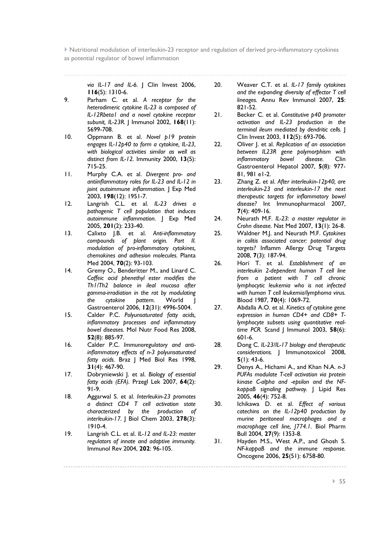` Nutritional modulation of interleukin-23 receptor and regulation of derived pro-inflammatory cytokines as potential regulator of bowel inflammation

*via IL-17 and IL-6.* J Clin Invest 2006, **116**(5): 1310-6.

- 9. Parham C. et al. *A receptor for the heterodimeric cytokine IL-23 is composed of IL-12Rbeta1 and a novel cytokine receptor subunit, IL-23R.* J Immunol 2002, **168**(11): 5699-708.
- 10. Oppmann B. et al. *Novel p19 protein engages IL-12p40 to form a cytokine, IL-23, with biological activities similar as well as distinct from IL-12.* Immunity 2000, **13**(5): 715-25.
- 11. Murphy C.A. et al. *Divergent pro- and antiinflammatory roles for IL-23 and IL-12 in joint autoimmune inflammation.* J Exp Med 2003, **198**(12): 1951-7.
- 12. Langrish C.L. et al. *IL-23 drives a pathogenic T cell population that induces autoimmune inflammation.* J Exp Med 2005, **201**(2): 233-40.
- 13. Calixto J.B. et al. *Anti-inflammatory compounds of plant origin. Part II. modulation of pro-inflammatory cytokines, chemokines and adhesion molecules.* Planta Med 2004, **70**(2): 93-103.
- 14. Gremy O., Benderitter M., and Linard C. *Caffeic acid phenethyl ester modifies the Th1/Th2 balance in ileal mucosa after gamma-irradiation in the rat by modulating the cytokine pattern.* World J Gastroenterol 2006, **12**(31): 4996-5004.
- 15. Calder P.C. *Polyunsaturated fatty acids, inflammatory processes and inflammatory bowel diseases.* Mol Nutr Food Res 2008, **52**(8): 885-97.
- 16. Calder P.C. *Immunoregulatory and antiinflammatory effects of n-3 polyunsaturated fatty acids.* Braz J Med Biol Res 1998, **31**(4): 467-90.
- 17. Dobryniewski J. et al. *Biology of essential fatty acids (EFA).* Przegl Lek 2007, **64**(2): 91-9.
- 18. Aggarwal S. et al. *Interleukin-23 promotes a distinct CD4 T cell activation state characterized by the production of interleukin-17.* J Biol Chem 2003, **278**(3): 1910-4.
- 19. Langrish C.L. et al. *IL-12 and IL-23: master regulators of innate and adaptive immunity.* Immunol Rev 2004, **202**: 96-105.
- 20. Weaver C.T. et al. *IL-17 family cytokines and the expanding diversity of effector T cell lineages.* Annu Rev Immunol 2007, **25**: 821-52.
- 21. Becker C. et al. *Constitutive p40 promoter activation and IL-23 production in the terminal ileum mediated by dendritic cells.* J Clin Invest 2003, **112**(5): 693-706.
- 22. Oliver J. et al. *Replication of an association between IL23R gene polymorphism with inflammatory bowel disease.* Clin Gastroenterol Hepatol 2007, **5**(8): 977- 81, 981 e1-2.
- 23. Zhang Z. et al. *After interleukin-12p40, are interleukin-23 and interleukin-17 the next therapeutic targets for inflammatory bowel disease?* Int Immunopharmacol 2007, **7**(4): 409-16.
- 24. Neurath M.F. *IL-23: a master regulator in Crohn disease.* Nat Med 2007, **13**(1): 26-8.
- 25. Waldner M.J. and Neurath M.F. *Cytokines in colitis associated cancer: potential drug targets?* Inflamm Allergy Drug Targets 2008, **7**(3): 187-94.
- 26. Hori T. et al. *Establishment of an interleukin 2-dependent human T cell line from a patient with T cell chronic lymphocytic leukemia who is not infected with human T cell leukemia/lymphoma virus.* Blood 1987, **70**(4): 1069-72.
- 27. Abdalla A.O. et al. *Kinetics of cytokine gene expression in human CD4+ and CD8+ Tlymphocyte subsets using quantitative realtime PCR.* Scand J Immunol 2003, **58**(6): 601-6.
- 28. Dong C. *IL-23/IL-17 biology and therapeutic considerations.* J Immunotoxicol 2008, **5**(1): 43-6.
- 29. Denys A., Hichami A., and Khan N.A. *n-3 PUFAs modulate T-cell activation via protein kinase C-alpha and -epsilon and the NFkappaB signaling pathway.* J Lipid Res 2005, **46**(4): 752-8.
- 30. Ichikawa D. et al. *Effect of various catechins on the IL-12p40 production by murine peritoneal macrophages and a macrophage cell line, J774.1.* Biol Pharm Bull 2004, **27**(9): 1353-8.
- 31. Hayden M.S., West A.P., and Ghosh S. *NF-kappaB and the immune response.* Oncogene 2006, **25**(51): 6758-80.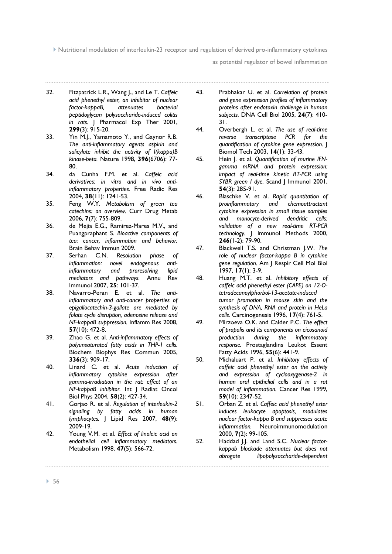` Nutritional modulation of interleukin-23 receptor and regulation of derived pro-inflammatory cytokines

as potential regulator of bowel inflammation

- 32. Fitzpatrick L.R., Wang J., and Le T. *Caffeic acid phenethyl ester, an inhibitor of nuclear factor-kappaB, attenuates bacterial peptidoglycan polysaccharide-induced colitis in rats.* J Pharmacol Exp Ther 2001, **299**(3): 915-20.
- 33. Yin M.J., Yamamoto Y., and Gaynor R.B. *The anti-inflammatory agents aspirin and salicylate inhibit the activity of I(kappa)B kinase-beta.* Nature 1998, **396**(6706): 77- 80.
- 34. da Cunha F.M. et al. *Caffeic acid derivatives: in vitro and in vivo antiinflammatory properties.* Free Radic Res 2004, **38**(11): 1241-53.
- 35. Feng W.Y. *Metabolism of green tea catechins: an overview.* Curr Drug Metab 2006, **7**(7): 755-809.
- 36. de Mejia E.G., Ramirez-Mares M.V., and Puangpraphant S. *Bioactive components of tea: cancer, inflammation and behavior.* Brain Behav Immun 2009.
- 37. Serhan C.N. *Resolution phase of inflammation: novel endogenous antiinflammatory and proresolving lipid mediators and pathways.* Annu Rev Immunol 2007, **25**: 101-37.
- 38. Navarro-Peran E. et al. *The antiinflammatory and anti-cancer properties of epigallocatechin-3-gallate are mediated by folate cycle disruption, adenosine release and NF-kappaB suppression.* Inflamm Res 2008, **57**(10): 472-8.
- 39. Zhao G. et al. *Anti-inflammatory effects of polyunsaturated fatty acids in THP-1 cells.* Biochem Biophys Res Commun 2005, **336**(3): 909-17.
- 40. Linard C. et al. *Acute induction of inflammatory cytokine expression after gamma-irradiation in the rat: effect of an NF-kappaB inhibitor.* Int J Radiat Oncol Biol Phys 2004, **58**(2): 427-34.
- 41. Gorjao R. et al. *Regulation of interleukin-2 signaling by fatty acids in human lymphocytes.* J Lipid Res 2007, **48**(9): 2009-19.
- 42. Young V.M. et al. *Effect of linoleic acid on endothelial cell inflammatory mediators.* Metabolism 1998, **47**(5): 566-72.
- 43. Prabhakar U. et al. *Correlation of protein and gene expression profiles of inflammatory proteins after endotoxin challenge in human subjects.* DNA Cell Biol 2005, **24**(7): 410- 31.
- 44. Overbergh L. et al. *The use of real-time reverse transcriptase PCR for the quantification of cytokine gene expression.* J Biomol Tech 2003, **14**(1): 33-43.
- 45. Hein J. et al. *Quantification of murine IFNgamma mRNA and protein expression: impact of real-time kinetic RT-PCR using SYBR green I dye.* Scand J Immunol 2001, **54**(3): 285-91.
- 46. Blaschke V. et al. *Rapid quantitation of proinflammatory and chemoattractant cytokine expression in small tissue samples and monocyte-derived dendritic cells: validation of a new real-time RT-PCR technology.* J Immunol Methods 2000, **246**(1-2): 79-90.
- 47. Blackwell T.S. and Christman J.W. *The role of nuclear factor-kappa B in cytokine gene regulation.* Am J Respir Cell Mol Biol 1997, **17**(1): 3-9.
- 48. Huang M.T. et al. *Inhibitory effects of caffeic acid phenethyl ester (CAPE) on 12-Otetradecanoylphorbol-13-acetate-induced tumor promotion in mouse skin and the synthesis of DNA, RNA and protein in HeLa cells.* Carcinogenesis 1996, **17**(4): 761-5.
- 49. Mirzoeva O.K. and Calder P.C. *The effect of propolis and its components on eicosanoid production during the inflammatory response.* Prostaglandins Leukot Essent Fatty Acids 1996, **55**(6): 441-9.
- 50. Michaluart P. et al. *Inhibitory effects of caffeic acid phenethyl ester on the activity and expression of cyclooxygenase-2 in human oral epithelial cells and in a rat model of inflammation.* Cancer Res 1999, **59**(10): 2347-52.
- 51. Orban Z. et al. *Caffeic acid phenethyl ester induces leukocyte apoptosis, modulates nuclear factor-kappa B and suppresses acute inflammation.* Neuroimmunomodulation 2000, **7**(2): 99-105.
- 52. Haddad J.J. and Land S.C. *Nuclear factorkappab blockade attenuates but does not abrogate lipopolysaccharide-dependent*

 $\triangleright$  56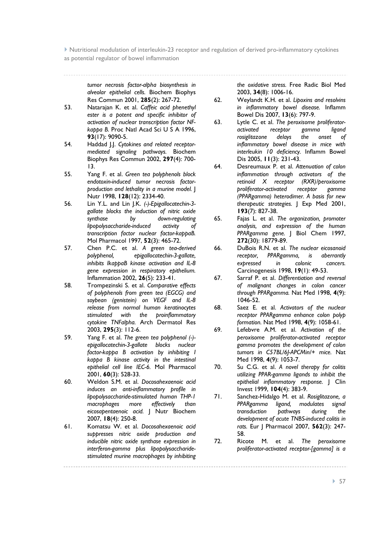` Nutritional modulation of interleukin-23 receptor and regulation of derived pro-inflammatory cytokines as potential regulator of bowel inflammation

*tumor necrosis factor-alpha biosynthesis in alveolar epithelial cells.* Biochem Biophys Res Commun 2001, **285**(2): 267-72.

- 53. Natarajan K. et al. *Caffeic acid phenethyl ester is a potent and specific inhibitor of activation of nuclear transcription factor NFkappa B.* Proc Natl Acad Sci U S A 1996, **93**(17): 9090-5.
- 54. Haddad J.J. *Cytokines and related receptormediated signaling pathways.* Biochem Biophys Res Commun 2002, **297**(4): 700- 13.
- 55. Yang F. et al. *Green tea polyphenols block endotoxin-induced tumor necrosis factorproduction and lethality in a murine model.* J Nutr 1998, **128**(12): 2334-40.
- 56. Lin Y.L. and Lin J.K. *(-)-Epigallocatechin-3 gallate blocks the induction of nitric oxide synthase by down-regulating lipopolysaccharide-induced activity of transcription factor nuclear factor-kappaB.* Mol Pharmacol 1997, **52**(3): 465-72.
- 57. Chen P.C. et al. *A green tea-derived polyphenol, epigallocatechin-3-gallate, inhibits IkappaB kinase activation and IL-8 gene expression in respiratory epithelium.* Inflammation 2002, **26**(5): 233-41.
- 58. Trompezinski S. et al. *Comparative effects of polyphenols from green tea (EGCG) and soybean (genistein) on VEGF and IL-8 release from normal human keratinocytes stimulated with the proinflammatory cytokine TNFalpha.* Arch Dermatol Res 2003, **295**(3): 112-6.
- 59. Yang F. et al. *The green tea polyphenol (-) epigallocatechin-3-gallate blocks nuclear factor-kappa B activation by inhibiting I kappa B kinase activity in the intestinal epithelial cell line IEC-6.* Mol Pharmacol 2001, **60**(3): 528-33.
- 60. Weldon S.M. et al. *Docosahexaenoic acid induces an anti-inflammatory profile in lipopolysaccharide-stimulated human THP-1 macrophages more effectively than eicosapentaenoic acid.* J Nutr Biochem 2007, **18**(4): 250-8.
- 61. Komatsu W. et al. *Docosahexaenoic acid suppresses nitric oxide production and inducible nitric oxide synthase expression in interferon-gamma plus lipopolysaccharidestimulated murine macrophages by inhibiting*

*the oxidative stress.* Free Radic Biol Med 2003, **34**(8): 1006-16.

- 62. Weylandt K.H. et al. *Lipoxins and resolvins in inflammatory bowel disease.* Inflamm Bowel Dis 2007, **13**(6): 797-9.
- 63. Lytle C. et al. *The peroxisome proliferatoractivated receptor gamma ligand rosiglitazone delays the onset of inflammatory bowel disease in mice with interleukin 10 deficiency.* Inflamm Bowel Dis 2005, **11**(3): 231-43.
- 64. Desreumaux P. et al. *Attenuation of colon inflammation through activators of the retinoid X receptor (RXR)/peroxisome proliferator-activated receptor gamma (PPARgamma) heterodimer. A basis for new therapeutic strategies.* J Exp Med 2001, **193**(7): 827-38.
- 65. Fajas L. et al. *The organization, promoter analysis, and expression of the human PPARgamma gene.* J Biol Chem 1997, **272**(30): 18779-89.
- 66. DuBois R.N. et al. *The nuclear eicosanoid receptor, PPARgamma, is aberrantly expressed in colonic cancers.* Carcinogenesis 1998, **19**(1): 49-53.
- 67. Sarraf P. et al. *Differentiation and reversal of malignant changes in colon cancer through PPARgamma.* Nat Med 1998, **4**(9): 1046-52.
- 68. Saez E. et al. *Activators of the nuclear receptor PPARgamma enhance colon polyp formation.* Nat Med 1998, **4**(9): 1058-61.
- 69. Lefebvre A.M. et al. *Activation of the peroxisome proliferator-activated receptor gamma promotes the development of colon tumors in C57BL/6J-APCMin/+ mice.* Nat Med 1998, **4**(9): 1053-7.
- 70. Su C.G. et al. *A novel therapy for colitis utilizing PPAR-gamma ligands to inhibit the epithelial inflammatory response.* J Clin Invest 1999, **104**(4): 383-9.
- 71. Sanchez-Hidalgo M. et al. *Rosiglitazone, a PPARgamma ligand, modulates signal transduction pathways during the development of acute TNBS-induced colitis in rats.* Eur J Pharmacol 2007, **562**(3): 247- 58.
- 72. Ricote M. et al. *The peroxisome proliferator-activated receptor-[gamma] is a*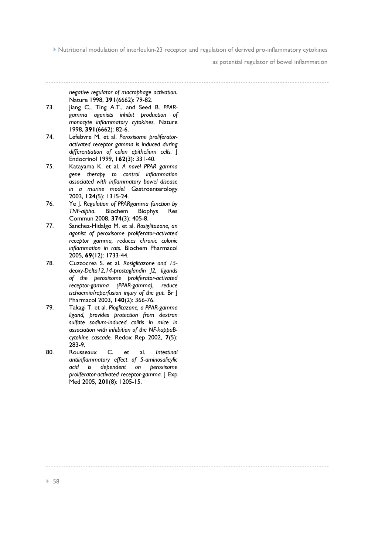` Nutritional modulation of interleukin-23 receptor and regulation of derived pro-inflammatory cytokines

as potential regulator of bowel inflammation

*negative regulator of macrophage activation.* Nature 1998, **391**(6662): 79-82.

- 73. Jiang C., Ting A.T., and Seed B. *PPARgamma agonists inhibit production of monocyte inflammatory cytokines.* Nature 1998, **391**(6662): 82-6.
- 74. Lefebvre M. et al. *Peroxisome proliferatoractivated receptor gamma is induced during differentiation of colon epithelium cells.* J Endocrinol 1999, **162**(3): 331-40.
- 75. Katayama K. et al. *A novel PPAR gamma gene therapy to control inflammation associated with inflammatory bowel disease in a murine model.* Gastroenterology 2003, **124**(5): 1315-24.
- 76. Ye J. *Regulation of PPARgamma function by TNF-alpha.* Biochem Biophys Res Commun 2008, **374**(3): 405-8.
- 77. Sanchez-Hidalgo M. et al. *Rosiglitazone, an agonist of peroxisome proliferator-activated receptor gamma, reduces chronic colonic inflammation in rats.* Biochem Pharmacol 2005, **69**(12): 1733-44.
- 78. Cuzzocrea S. et al. *Rosiglitazone and 15 deoxy-Delta12,14-prostaglandin J2, ligands of the peroxisome proliferator-activated receptor-gamma (PPAR-gamma), reduce ischaemia/reperfusion injury of the gut.* Br J Pharmacol 2003, **140**(2): 366-76.
- 79. Takagi T. et al. *Pioglitazone, a PPAR-gamma ligand, provides protection from dextran sulfate sodium-induced colitis in mice in association with inhibition of the NF-kappaBcytokine cascade.* Redox Rep 2002, **7**(5): 283-9.
- 80. Rousseaux C. et al. *Intestinal antiinflammatory effect of 5-aminosalicylic acid is dependent on peroxisome proliferator-activated receptor-gamma.* J Exp Med 2005, **201**(8): 1205-15.

 $\triangleright$  58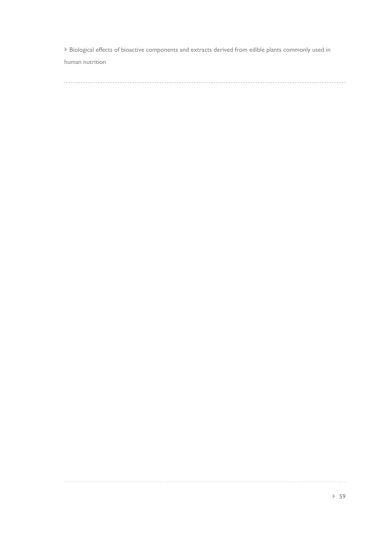$\blacktriangleright$  Biological effects of bioactive components and extracts derived from edible plants commonly used in human nutrition